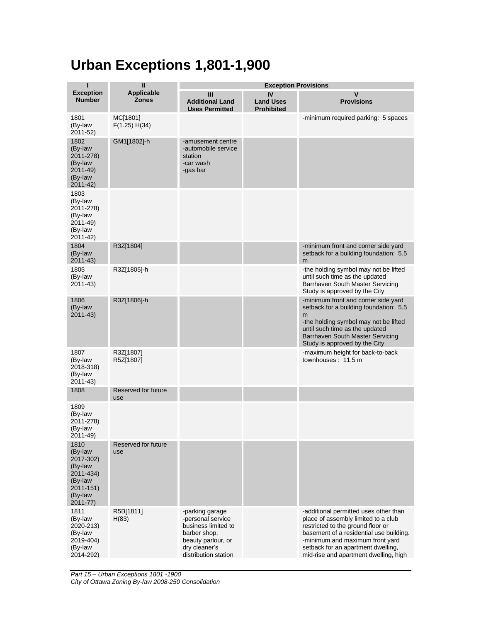## **Urban Exceptions 1,801-1,900**

| ı                                                                                                      | $\mathbf{I}$               | <b>Exception Provisions</b>                                                                                                                |                                             |                                                                                                                                                                                                                                                                                |  |
|--------------------------------------------------------------------------------------------------------|----------------------------|--------------------------------------------------------------------------------------------------------------------------------------------|---------------------------------------------|--------------------------------------------------------------------------------------------------------------------------------------------------------------------------------------------------------------------------------------------------------------------------------|--|
| <b>Exception</b><br><b>Number</b>                                                                      | Applicable<br><b>Zones</b> | Ш<br><b>Additional Land</b><br><b>Uses Permitted</b>                                                                                       | IV<br><b>Land Uses</b><br><b>Prohibited</b> | V<br><b>Provisions</b>                                                                                                                                                                                                                                                         |  |
| 1801<br>(By-law<br>2011-52)                                                                            | MC[1801]<br>F(1.25) H(34)  |                                                                                                                                            |                                             | -minimum required parking: 5 spaces                                                                                                                                                                                                                                            |  |
| 1802<br>(By-law<br>2011-278)<br>(By-law<br>$2011 - 49$<br>(By-law<br>$2011 - 42$                       | GM1[1802]-h                | -amusement centre<br>-automobile service<br>station<br>-car wash<br>-gas bar                                                               |                                             |                                                                                                                                                                                                                                                                                |  |
| 1803<br>(By-law<br>2011-278)<br>(By-law<br>2011-49)<br>(By-law<br>2011-42)                             |                            |                                                                                                                                            |                                             |                                                                                                                                                                                                                                                                                |  |
| 1804<br>(By-law<br>2011-43)                                                                            | R3Z[1804]                  |                                                                                                                                            |                                             | -minimum front and corner side yard<br>setback for a building foundation: 5.5<br>m                                                                                                                                                                                             |  |
| 1805<br>(By-law<br>$2011 - 43$                                                                         | R3Z[1805]-h                |                                                                                                                                            |                                             | -the holding symbol may not be lifted<br>until such time as the updated<br>Barrhaven South Master Servicing<br>Study is approved by the City                                                                                                                                   |  |
| 1806<br>(By-law<br>$2011 - 43$                                                                         | R3Z[1806]-h                |                                                                                                                                            |                                             | -minimum front and corner side yard<br>setback for a building foundation: 5.5<br>m<br>-the holding symbol may not be lifted<br>until such time as the updated<br>Barrhaven South Master Servicing<br>Study is approved by the City                                             |  |
| 1807<br>(By-law<br>2018-318)<br>(By-law<br>$2011 - 43$                                                 | R3Z[1807]<br>R5Z[1807]     |                                                                                                                                            |                                             | -maximum height for back-to-back<br>townhouses: 11.5 m                                                                                                                                                                                                                         |  |
| 1808                                                                                                   | Reserved for future<br>use |                                                                                                                                            |                                             |                                                                                                                                                                                                                                                                                |  |
| 1809<br>(By-law<br>2011-278)<br>(By-law<br>2011-49)                                                    |                            |                                                                                                                                            |                                             |                                                                                                                                                                                                                                                                                |  |
| 1810<br>(By-law<br>2017-302)<br>(By-law<br>2011-434)<br>(By-law<br>2011-151)<br>(By-law<br>$2011 - 77$ | Reserved for future<br>use |                                                                                                                                            |                                             |                                                                                                                                                                                                                                                                                |  |
| 1811<br>(By-law<br>2020-213)<br>(By-law<br>2019-404)<br>(By-law<br>2014-292)                           | R5B[1811]<br>H(83)         | -parking garage<br>-personal service<br>business limited to<br>barber shop.<br>beauty parlour, or<br>dry cleaner's<br>distribution station |                                             | -additional permitted uses other than<br>place of assembly limited to a club<br>restricted to the ground floor or<br>basement of a residential use building.<br>-minimum and maximum front yard<br>setback for an apartment dwelling,<br>mid-rise and apartment dwelling, high |  |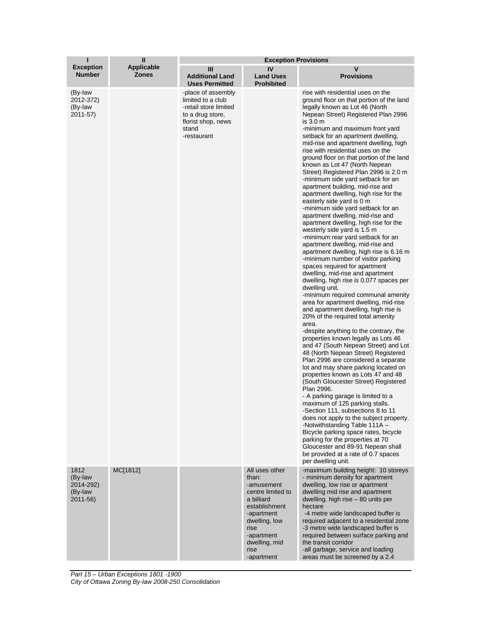| ı                                                   | П                                 | <b>Exception Provisions</b>                                                                                                        |                                                                                                                                                                                       |                                                                                                                                                                                                                                                                                                                                                                                                                                                                                                                                                                                                                                                                                                                                                                                                                                                                                                                                                                                                                                                                                                                                                                                                                                                                                                                                                                                                                                                                                                                                                                                                                                                                                                                                                                                                                                                                                                                                    |  |
|-----------------------------------------------------|-----------------------------------|------------------------------------------------------------------------------------------------------------------------------------|---------------------------------------------------------------------------------------------------------------------------------------------------------------------------------------|------------------------------------------------------------------------------------------------------------------------------------------------------------------------------------------------------------------------------------------------------------------------------------------------------------------------------------------------------------------------------------------------------------------------------------------------------------------------------------------------------------------------------------------------------------------------------------------------------------------------------------------------------------------------------------------------------------------------------------------------------------------------------------------------------------------------------------------------------------------------------------------------------------------------------------------------------------------------------------------------------------------------------------------------------------------------------------------------------------------------------------------------------------------------------------------------------------------------------------------------------------------------------------------------------------------------------------------------------------------------------------------------------------------------------------------------------------------------------------------------------------------------------------------------------------------------------------------------------------------------------------------------------------------------------------------------------------------------------------------------------------------------------------------------------------------------------------------------------------------------------------------------------------------------------------|--|
| <b>Exception</b><br><b>Number</b>                   | <b>Applicable</b><br><b>Zones</b> | Ш<br><b>Additional Land</b><br><b>Uses Permitted</b>                                                                               | IV<br><b>Land Uses</b><br><b>Prohibited</b>                                                                                                                                           | v<br><b>Provisions</b>                                                                                                                                                                                                                                                                                                                                                                                                                                                                                                                                                                                                                                                                                                                                                                                                                                                                                                                                                                                                                                                                                                                                                                                                                                                                                                                                                                                                                                                                                                                                                                                                                                                                                                                                                                                                                                                                                                             |  |
| (By-law<br>2012-372)<br>(By-law<br>2011-57)         |                                   | -place of assembly<br>limited to a club<br>-retail store limited<br>to a drug store,<br>florist shop, news<br>stand<br>-restaurant |                                                                                                                                                                                       | rise with residential uses on the<br>ground floor on that portion of the land<br>legally known as Lot 46 (North<br>Nepean Street) Registered Plan 2996<br>is 3.0 m<br>-minimum and maximum front yard<br>setback for an apartment dwelling,<br>mid-rise and apartment dwelling, high<br>rise with residential uses on the<br>ground floor on that portion of the land<br>known as Lot 47 (North Nepean<br>Street) Registered Plan 2996 is 2.0 m<br>-minimum side yard setback for an<br>apartment building, mid-rise and<br>apartment dwelling, high rise for the<br>easterly side yard is 0 m<br>-minimum side yard setback for an<br>apartment dwelling, mid-rise and<br>apartment dwelling, high rise for the<br>westerly side yard is 1.5 m<br>-minimum rear yard setback for an<br>apartment dwelling, mid-rise and<br>apartment dwelling, high rise is 6.16 m<br>-minimum number of visitor parking<br>spaces required for apartment<br>dwelling, mid-rise and apartment<br>dwelling, high rise is 0.077 spaces per<br>dwelling unit.<br>-minimum required communal amenity<br>area for apartment dwelling, mid-rise<br>and apartment dwelling, high rise is<br>20% of the required total amenity<br>area.<br>-despite anything to the contrary, the<br>properties known legally as Lots 46<br>and 47 (South Nepean Street) and Lot<br>48 (North Nepean Street) Registered<br>Plan 2996 are considered a separate<br>lot and may share parking located on<br>properties known as Lots 47 and 48<br>(South Gloucester Street) Registered<br>Plan 2996.<br>- A parking garage is limited to a<br>maximum of 125 parking stalls.<br>-Section 111, subsections 8 to 11<br>does not apply to the subject property.<br>-Notwithstanding Table 111A -<br>Bicycle parking space rates, bicycle<br>parking for the properties at 70<br>Gloucester and 89-91 Nepean shall<br>be provided at a rate of 0.7 spaces<br>per dwelling unit. |  |
| 1812<br>(By-law<br>2014-292)<br>(By-law<br>2011-56) | MC[1812]                          |                                                                                                                                    | All uses other<br>than:<br>-amusement<br>centre limited to<br>a billiard<br>establishment<br>-apartment<br>dwelling, low<br>rise<br>-apartment<br>dwelling, mid<br>rise<br>-apartment | -maximum building height: 10 storeys<br>- minimum density for apartment<br>dwelling, low rise or apartment<br>dwelling mid rise and apartment<br>dwelling, high rise - 80 units per<br>hectare<br>-4 metre wide landscaped buffer is<br>required adjacent to a residential zone<br>-3 metre wide landscaped buffer is<br>required between surface parking and<br>the transit corridor<br>-all garbage, service and loading<br>areas must be screened by a 2.4                                                                                                                                                                                                                                                                                                                                                                                                                                                                                                                                                                                                                                                                                                                                                                                                                                                                                                                                                                                                                                                                                                                                                                                                                                                                                                                                                                                                                                                                      |  |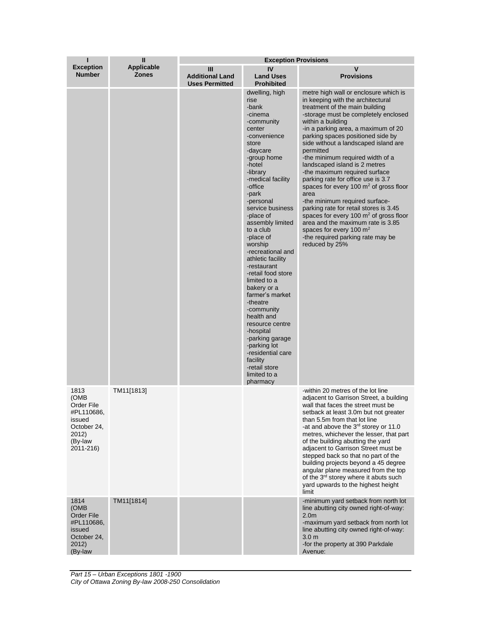| ı                                                                                                  | $\mathbf{I}$                      | <b>Exception Provisions</b>                          |                                                                                                                                                                                                                                                                                                                                                                                                                                                                                                                                                                                                                        |                                                                                                                                                                                                                                                                                                                                                                                                                                                                                                                                                                                                                                                                                                                                                             |  |
|----------------------------------------------------------------------------------------------------|-----------------------------------|------------------------------------------------------|------------------------------------------------------------------------------------------------------------------------------------------------------------------------------------------------------------------------------------------------------------------------------------------------------------------------------------------------------------------------------------------------------------------------------------------------------------------------------------------------------------------------------------------------------------------------------------------------------------------------|-------------------------------------------------------------------------------------------------------------------------------------------------------------------------------------------------------------------------------------------------------------------------------------------------------------------------------------------------------------------------------------------------------------------------------------------------------------------------------------------------------------------------------------------------------------------------------------------------------------------------------------------------------------------------------------------------------------------------------------------------------------|--|
| <b>Exception</b><br><b>Number</b>                                                                  | <b>Applicable</b><br><b>Zones</b> | Ш<br><b>Additional Land</b><br><b>Uses Permitted</b> | IV<br><b>Land Uses</b><br><b>Prohibited</b>                                                                                                                                                                                                                                                                                                                                                                                                                                                                                                                                                                            | v<br><b>Provisions</b>                                                                                                                                                                                                                                                                                                                                                                                                                                                                                                                                                                                                                                                                                                                                      |  |
|                                                                                                    |                                   |                                                      | dwelling, high<br>rise<br>-bank<br>-cinema<br>-community<br>center<br>-convenience<br>store<br>-daycare<br>-group home<br>-hotel<br>-library<br>-medical facility<br>-office<br>-park<br>-personal<br>service business<br>-place of<br>assembly limited<br>to a club<br>-place of<br>worship<br>-recreational and<br>athletic facility<br>-restaurant<br>-retail food store<br>limited to a<br>bakery or a<br>farmer's market<br>-theatre<br>-community<br>health and<br>resource centre<br>-hospital<br>-parking garage<br>-parking lot<br>-residential care<br>facility<br>-retail store<br>limited to a<br>pharmacy | metre high wall or enclosure which is<br>in keeping with the architectural<br>treatment of the main building<br>-storage must be completely enclosed<br>within a building<br>-in a parking area, a maximum of 20<br>parking spaces positioned side by<br>side without a landscaped island are<br>permitted<br>-the minimum required width of a<br>landscaped island is 2 metres<br>-the maximum required surface<br>parking rate for office use is 3.7<br>spaces for every 100 $m2$ of gross floor<br>area<br>-the minimum required surface-<br>parking rate for retail stores is 3.45<br>spaces for every 100 $m2$ of gross floor<br>area and the maximum rate is 3.85<br>spaces for every 100 $m2$<br>-the required parking rate may be<br>reduced by 25% |  |
| 1813<br>(OMB<br>Order File<br>#PL110686,<br>issued<br>October 24,<br>2012)<br>(By-law<br>2011-216) | TM11[1813]                        |                                                      |                                                                                                                                                                                                                                                                                                                                                                                                                                                                                                                                                                                                                        | -within 20 metres of the lot line<br>adjacent to Garrison Street, a building<br>wall that faces the street must be<br>setback at least 3.0m but not greater<br>than 5.5m from that lot line<br>-at and above the 3 <sup>rd</sup> storey or 11.0<br>metres, whichever the lesser, that part<br>of the building abutting the yard<br>adjacent to Garrison Street must be<br>stepped back so that no part of the<br>building projects beyond a 45 degree<br>angular plane measured from the top<br>of the 3 <sup>rd</sup> storey where it abuts such<br>yard upwards to the highest height<br>limit                                                                                                                                                            |  |
| 1814<br>(OMB<br>Order File<br>#PL110686,<br>issued<br>October 24,<br>2012)<br>(By-law              | TM11[1814]                        |                                                      |                                                                                                                                                                                                                                                                                                                                                                                                                                                                                                                                                                                                                        | -minimum yard setback from north lot<br>line abutting city owned right-of-way:<br>2.0 <sub>m</sub><br>-maximum yard setback from north lot<br>line abutting city owned right-of-way:<br>3.0 <sub>m</sub><br>-for the property at 390 Parkdale<br>Avenue:                                                                                                                                                                                                                                                                                                                                                                                                                                                                                                    |  |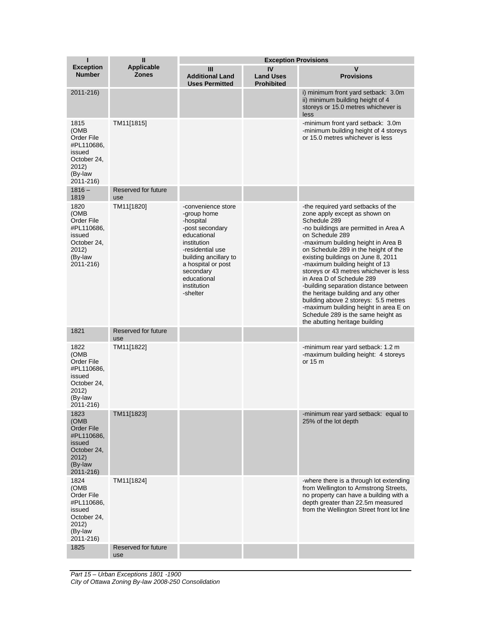| п                                                                                                         | $\mathbf{I}$                      | <b>Exception Provisions</b>                                                                                                                                                                                               |                                             |                                                                                                                                                                                                                                                                                                                                                                                                                                                                                                                                                                                                                       |  |
|-----------------------------------------------------------------------------------------------------------|-----------------------------------|---------------------------------------------------------------------------------------------------------------------------------------------------------------------------------------------------------------------------|---------------------------------------------|-----------------------------------------------------------------------------------------------------------------------------------------------------------------------------------------------------------------------------------------------------------------------------------------------------------------------------------------------------------------------------------------------------------------------------------------------------------------------------------------------------------------------------------------------------------------------------------------------------------------------|--|
| <b>Exception</b><br><b>Number</b>                                                                         | <b>Applicable</b><br><b>Zones</b> | Ш<br><b>Additional Land</b><br><b>Uses Permitted</b>                                                                                                                                                                      | IV<br><b>Land Uses</b><br><b>Prohibited</b> | ۷<br><b>Provisions</b>                                                                                                                                                                                                                                                                                                                                                                                                                                                                                                                                                                                                |  |
| 2011-216)                                                                                                 |                                   |                                                                                                                                                                                                                           |                                             | i) minimum front yard setback: 3.0m<br>ii) minimum building height of 4<br>storeys or 15.0 metres whichever is<br>less                                                                                                                                                                                                                                                                                                                                                                                                                                                                                                |  |
| 1815<br>(OMB<br>Order File<br>#PL110686,<br>issued<br>October 24,<br>2012)<br>(By-law<br>2011-216)        | TM11[1815]                        |                                                                                                                                                                                                                           |                                             | -minimum front yard setback: 3.0m<br>-minimum building height of 4 storeys<br>or 15.0 metres whichever is less                                                                                                                                                                                                                                                                                                                                                                                                                                                                                                        |  |
| $1816 -$<br>1819                                                                                          | Reserved for future<br>use        |                                                                                                                                                                                                                           |                                             |                                                                                                                                                                                                                                                                                                                                                                                                                                                                                                                                                                                                                       |  |
| 1820<br>(OMB<br>Order File<br>#PL110686,<br>issued<br>October 24.<br>2012)<br>(By-law<br>2011-216)        | TM11[1820]                        | -convenience store<br>-group home<br>-hospital<br>-post secondary<br>educational<br>institution<br>-residential use<br>building ancillary to<br>a hospital or post<br>secondary<br>educational<br>institution<br>-shelter |                                             | -the required yard setbacks of the<br>zone apply except as shown on<br>Schedule 289<br>-no buildings are permitted in Area A<br>on Schedule 289<br>-maximum building height in Area B<br>on Schedule 289 in the height of the<br>existing buildings on June 8, 2011<br>-maximum building height of 13<br>storeys or 43 metres whichever is less<br>in Area D of Schedule 289<br>-building separation distance between<br>the heritage building and any other<br>building above 2 storeys: 5.5 metres<br>-maximum building height in area E on<br>Schedule 289 is the same height as<br>the abutting heritage building |  |
| 1821                                                                                                      | Reserved for future<br>use        |                                                                                                                                                                                                                           |                                             |                                                                                                                                                                                                                                                                                                                                                                                                                                                                                                                                                                                                                       |  |
| 1822<br>(OMB<br>Order File<br>#PL110686,<br>issued<br>October 24,<br>2012)<br>(By-law<br>2011-216)        | TM11[1822]                        |                                                                                                                                                                                                                           |                                             | -minimum rear yard setback: 1.2 m<br>-maximum building height: 4 storeys<br>or 15 m                                                                                                                                                                                                                                                                                                                                                                                                                                                                                                                                   |  |
| 1823<br>(OMB<br><b>Order File</b><br>#PL110686,<br>issued<br>October 24.<br>2012)<br>(By-law<br>2011-216) | TM11[1823]                        |                                                                                                                                                                                                                           |                                             | -minimum rear yard setback: equal to<br>25% of the lot depth                                                                                                                                                                                                                                                                                                                                                                                                                                                                                                                                                          |  |
| 1824<br>(OMB<br>Order File<br>#PL110686,<br>issued<br>October 24,<br>2012)<br>(By-law<br>2011-216)        | TM11[1824]                        |                                                                                                                                                                                                                           |                                             | -where there is a through lot extending<br>from Wellington to Armstrong Streets,<br>no property can have a building with a<br>depth greater than 22.5m measured<br>from the Wellington Street front lot line                                                                                                                                                                                                                                                                                                                                                                                                          |  |
| 1825                                                                                                      | Reserved for future<br>use        |                                                                                                                                                                                                                           |                                             |                                                                                                                                                                                                                                                                                                                                                                                                                                                                                                                                                                                                                       |  |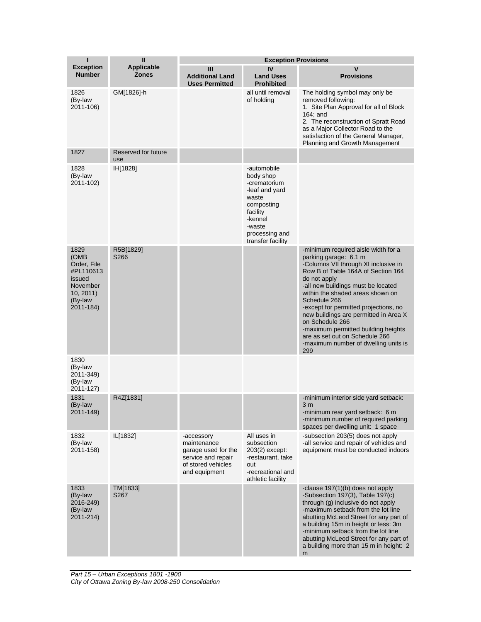| Ī                                                                                                   | $\mathbf{I}$                      | <b>Exception Provisions</b>                                                                                   |                                                                                                                                                           |                                                                                                                                                                                                                                                                                                                                                                                                                                                                                   |  |
|-----------------------------------------------------------------------------------------------------|-----------------------------------|---------------------------------------------------------------------------------------------------------------|-----------------------------------------------------------------------------------------------------------------------------------------------------------|-----------------------------------------------------------------------------------------------------------------------------------------------------------------------------------------------------------------------------------------------------------------------------------------------------------------------------------------------------------------------------------------------------------------------------------------------------------------------------------|--|
| <b>Exception</b><br><b>Number</b>                                                                   | <b>Applicable</b><br><b>Zones</b> | $\mathbf{III}$<br><b>Additional Land</b><br><b>Uses Permitted</b>                                             | IV<br><b>Land Uses</b><br><b>Prohibited</b>                                                                                                               | V<br><b>Provisions</b>                                                                                                                                                                                                                                                                                                                                                                                                                                                            |  |
| 1826<br>(By-law<br>2011-106)                                                                        | GM[1826]-h                        |                                                                                                               | all until removal<br>of holding                                                                                                                           | The holding symbol may only be<br>removed following:<br>1. Site Plan Approval for all of Block<br>$164$ ; and<br>2. The reconstruction of Spratt Road<br>as a Major Collector Road to the<br>satisfaction of the General Manager,<br>Planning and Growth Management                                                                                                                                                                                                               |  |
| 1827                                                                                                | Reserved for future<br>use        |                                                                                                               |                                                                                                                                                           |                                                                                                                                                                                                                                                                                                                                                                                                                                                                                   |  |
| 1828<br>(By-law<br>2011-102)                                                                        | IH[1828]                          |                                                                                                               | -automobile<br>body shop<br>-crematorium<br>-leaf and yard<br>waste<br>composting<br>facility<br>-kennel<br>-waste<br>processing and<br>transfer facility |                                                                                                                                                                                                                                                                                                                                                                                                                                                                                   |  |
| 1829<br>(OMB)<br>Order, File<br>#PL110613<br>issued<br>November<br>10, 2011<br>(By-law<br>2011-184) | R5B[1829]<br>S266                 |                                                                                                               |                                                                                                                                                           | -minimum required aisle width for a<br>parking garage: 6.1 m<br>-Columns VII through XI inclusive in<br>Row B of Table 164A of Section 164<br>do not apply<br>-all new buildings must be located<br>within the shaded areas shown on<br>Schedule 266<br>-except for permitted projections, no<br>new buildings are permitted in Area X<br>on Schedule 266<br>-maximum permitted building heights<br>are as set out on Schedule 266<br>-maximum number of dwelling units is<br>299 |  |
| 1830<br>(By-law<br>2011-349)<br>(By-law<br>2011-127)                                                |                                   |                                                                                                               |                                                                                                                                                           |                                                                                                                                                                                                                                                                                                                                                                                                                                                                                   |  |
| 1831<br>(By-law<br>2011-149)                                                                        | R4Z[1831]                         |                                                                                                               |                                                                                                                                                           | -minimum interior side yard setback:<br>3 <sub>m</sub><br>-minimum rear yard setback: 6 m<br>-minimum number of required parking<br>spaces per dwelling unit: 1 space                                                                                                                                                                                                                                                                                                             |  |
| 1832<br>(By-law<br>2011-158)                                                                        | IL[1832]                          | -accessory<br>maintenance<br>garage used for the<br>service and repair<br>of stored vehicles<br>and equipment | All uses in<br>subsection<br>203(2) except:<br>-restaurant, take<br>out<br>-recreational and<br>athletic facility                                         | -subsection 203(5) does not apply<br>-all service and repair of vehicles and<br>equipment must be conducted indoors                                                                                                                                                                                                                                                                                                                                                               |  |
| 1833<br>(By-law<br>2016-249)<br>(By-law<br>2011-214)                                                | TM[1833]<br>S267                  |                                                                                                               |                                                                                                                                                           | -clause $197(1)(b)$ does not apply<br>-Subsection 197(3), Table 197(c)<br>through (g) inclusive do not apply<br>-maximum setback from the lot line<br>abutting McLeod Street for any part of<br>a building 15m in height or less: 3m<br>-minimum setback from the lot line<br>abutting McLeod Street for any part of<br>a building more than 15 m in height: 2<br>m                                                                                                               |  |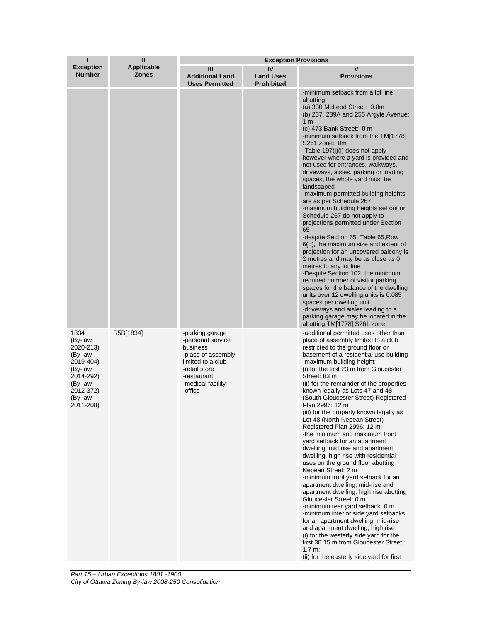| ı                                                                                                                            | $\mathbf{I}$                      | <b>Exception Provisions</b>                                                                                                                                 |                                             |                                                                                                                                                                                                                                                                                                                                                                                                                                                                                                                                                                                                                                                                                                                                                                                                                                                                                                                                                                                                                                                                                                                                                                 |  |
|------------------------------------------------------------------------------------------------------------------------------|-----------------------------------|-------------------------------------------------------------------------------------------------------------------------------------------------------------|---------------------------------------------|-----------------------------------------------------------------------------------------------------------------------------------------------------------------------------------------------------------------------------------------------------------------------------------------------------------------------------------------------------------------------------------------------------------------------------------------------------------------------------------------------------------------------------------------------------------------------------------------------------------------------------------------------------------------------------------------------------------------------------------------------------------------------------------------------------------------------------------------------------------------------------------------------------------------------------------------------------------------------------------------------------------------------------------------------------------------------------------------------------------------------------------------------------------------|--|
| <b>Exception</b><br><b>Number</b>                                                                                            | <b>Applicable</b><br><b>Zones</b> | Ш<br><b>Additional Land</b><br><b>Uses Permitted</b>                                                                                                        | IV<br><b>Land Uses</b><br><b>Prohibited</b> | V<br><b>Provisions</b>                                                                                                                                                                                                                                                                                                                                                                                                                                                                                                                                                                                                                                                                                                                                                                                                                                                                                                                                                                                                                                                                                                                                          |  |
|                                                                                                                              |                                   |                                                                                                                                                             |                                             | -minimum setback from a lot line<br>abutting:<br>(a) 330 McLeod Street: 0.8m<br>(b) 237, 239A and 255 Argyle Avenue:<br>1 <sub>m</sub><br>(c) $473$ Bank Street: $0 \text{ m}$<br>-minimum setback from the TM[1778]<br>S261 zone: 0m<br>-Table 197(i)(i) does not apply<br>however where a yard is provided and<br>not used for entrances, walkways,<br>driveways, aisles, parking or loading<br>spaces, the whole yard must be<br>landscaped<br>-maximum permitted building heights<br>are as per Schedule 267<br>-maximum building heights set out on<br>Schedule 267 do not apply to<br>projections permitted under Section<br>65<br>-despite Section 65, Table 65, Row<br>6(b), the maximum size and extent of<br>projection for an uncovered balcony is<br>2 metres and may be as close as 0<br>metres to any lot line<br>-Despite Section 102, the minimum<br>required number of visitor parking<br>spaces for the balance of the dwelling<br>units over 12 dwelling units is 0.085<br>spaces per dwelling unit<br>-driveways and aisles leading to a<br>parking garage may be located in the<br>abutting TM[1778] S261 zone                             |  |
| 1834<br>(By-law<br>2020-213)<br>(By-law<br>2019-404)<br>(By-law<br>2014-292)<br>(By-law<br>2012-372)<br>(By-law<br>2011-208) | R5B[1834]                         | -parking garage<br>-personal service<br>business<br>-place of assembly<br>limited to a club<br>-retail store<br>-restaurant<br>-medical facility<br>-office |                                             | -additional permitted uses other than<br>place of assembly limited to a club<br>restricted to the ground floor or<br>basement of a residential use building<br>-maximum building height:<br>(i) for the first 23 m from Gloucester<br>Street: 83 m<br>(ii) for the remainder of the properties<br>known legally as Lots 47 and 48<br>(South Gloucester Street) Registered<br>Plan 2996: 12 m<br>(iii) for the property known legally as<br>Lot 48 (North Nepean Street)<br>Registered Plan 2996: 12 m<br>-the minimum and maximum front<br>vard setback for an apartment<br>dwelling, mid rise and apartment<br>dwelling, high rise with residential<br>uses on the ground floor abutting<br>Nepean Street: 2 m<br>-minimum front yard setback for an<br>apartment dwelling, mid-rise and<br>apartment dwelling, high rise abutting<br>Gloucester Street: 0 m<br>-minimum rear yard setback: 0 m<br>-minimum interior side yard setbacks<br>for an apartment dwelling, mid-rise<br>and apartment dwelling, high rise:<br>(i) for the westerly side yard for the<br>first 30.15 m from Gloucester Street:<br>1.7 m;<br>(ii) for the easterly side yard for first |  |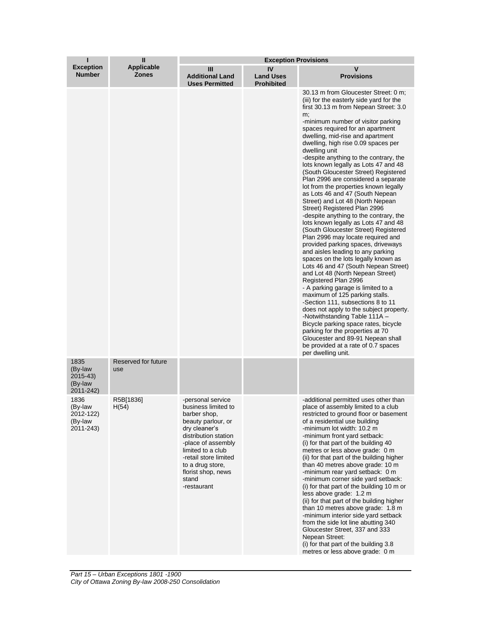| ı                                                      | Ш                          | <b>Exception Provisions</b>                                                                                                                                                                                                                                   |                                             |                                                                                                                                                                                                                                                                                                                                                                                                                                                                                                                                                                                                                                                                                                                                                                                                                                                                                                                                                                                                                                                                                                                                                                                                                                                                                                                                                                                    |  |
|--------------------------------------------------------|----------------------------|---------------------------------------------------------------------------------------------------------------------------------------------------------------------------------------------------------------------------------------------------------------|---------------------------------------------|------------------------------------------------------------------------------------------------------------------------------------------------------------------------------------------------------------------------------------------------------------------------------------------------------------------------------------------------------------------------------------------------------------------------------------------------------------------------------------------------------------------------------------------------------------------------------------------------------------------------------------------------------------------------------------------------------------------------------------------------------------------------------------------------------------------------------------------------------------------------------------------------------------------------------------------------------------------------------------------------------------------------------------------------------------------------------------------------------------------------------------------------------------------------------------------------------------------------------------------------------------------------------------------------------------------------------------------------------------------------------------|--|
| <b>Exception</b><br><b>Number</b>                      | Applicable<br><b>Zones</b> | Ш<br><b>Additional Land</b><br><b>Uses Permitted</b>                                                                                                                                                                                                          | IV<br><b>Land Uses</b><br><b>Prohibited</b> | v<br><b>Provisions</b>                                                                                                                                                                                                                                                                                                                                                                                                                                                                                                                                                                                                                                                                                                                                                                                                                                                                                                                                                                                                                                                                                                                                                                                                                                                                                                                                                             |  |
|                                                        |                            |                                                                                                                                                                                                                                                               |                                             | 30.13 m from Gloucester Street: 0 m;<br>(iii) for the easterly side yard for the<br>first 30.13 m from Nepean Street: 3.0<br>m;<br>-minimum number of visitor parking<br>spaces required for an apartment<br>dwelling, mid-rise and apartment<br>dwelling, high rise 0.09 spaces per<br>dwelling unit<br>-despite anything to the contrary, the<br>lots known legally as Lots 47 and 48<br>(South Gloucester Street) Registered<br>Plan 2996 are considered a separate<br>lot from the properties known legally<br>as Lots 46 and 47 (South Nepean<br>Street) and Lot 48 (North Nepean<br>Street) Registered Plan 2996<br>-despite anything to the contrary, the<br>lots known legally as Lots 47 and 48<br>(South Gloucester Street) Registered<br>Plan 2996 may locate required and<br>provided parking spaces, driveways<br>and aisles leading to any parking<br>spaces on the lots legally known as<br>Lots 46 and 47 (South Nepean Street)<br>and Lot 48 (North Nepean Street)<br>Registered Plan 2996<br>- A parking garage is limited to a<br>maximum of 125 parking stalls.<br>-Section 111, subsections 8 to 11<br>does not apply to the subject property.<br>-Notwithstanding Table 111A -<br>Bicycle parking space rates, bicycle<br>parking for the properties at 70<br>Gloucester and 89-91 Nepean shall<br>be provided at a rate of 0.7 spaces<br>per dwelling unit. |  |
| 1835<br>(By-law<br>$2015 - 43$<br>(By-law<br>2011-242) | Reserved for future<br>use |                                                                                                                                                                                                                                                               |                                             |                                                                                                                                                                                                                                                                                                                                                                                                                                                                                                                                                                                                                                                                                                                                                                                                                                                                                                                                                                                                                                                                                                                                                                                                                                                                                                                                                                                    |  |
| 1836<br>(By-law<br>2012-122)<br>(By-law<br>2011-243)   | R5B[1836]<br>H(54)         | -personal service<br>business limited to<br>barber shop,<br>beauty parlour, or<br>dry cleaner's<br>distribution station<br>-place of assembly<br>limited to a club<br>-retail store limited<br>to a drug store,<br>florist shop, news<br>stand<br>-restaurant |                                             | -additional permitted uses other than<br>place of assembly limited to a club<br>restricted to ground floor or basement<br>of a residential use building<br>-minimum lot width: 10.2 m<br>-minimum front yard setback:<br>(i) for that part of the building 40<br>metres or less above grade: 0 m<br>(ii) for that part of the building higher<br>than 40 metres above grade: 10 m<br>-minimum rear yard setback: 0 m<br>-minimum corner side yard setback:<br>(i) for that part of the building 10 m or<br>less above grade: 1.2 m<br>(ii) for that part of the building higher<br>than 10 metres above grade: 1.8 m<br>-minimum interior side yard setback<br>from the side lot line abutting 340<br>Gloucester Street, 337 and 333<br>Nepean Street:<br>(i) for that part of the building 3.8<br>metres or less above grade: 0 m                                                                                                                                                                                                                                                                                                                                                                                                                                                                                                                                                 |  |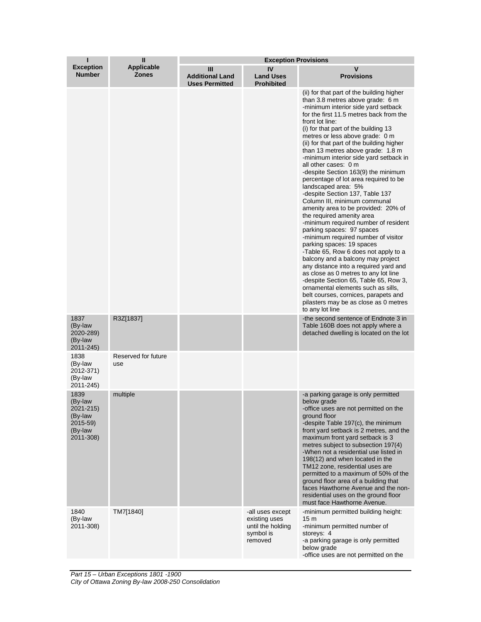| ı                                                                           | Ш                                 | <b>Exception Provisions</b>                          |                                                                                |                                                                                                                                                                                                                                                                                                                                                                                                                                                                                                                                                                                                                                                                                                                                                                                                                                                                                                                                                                                                                                                                                                                                                           |  |
|-----------------------------------------------------------------------------|-----------------------------------|------------------------------------------------------|--------------------------------------------------------------------------------|-----------------------------------------------------------------------------------------------------------------------------------------------------------------------------------------------------------------------------------------------------------------------------------------------------------------------------------------------------------------------------------------------------------------------------------------------------------------------------------------------------------------------------------------------------------------------------------------------------------------------------------------------------------------------------------------------------------------------------------------------------------------------------------------------------------------------------------------------------------------------------------------------------------------------------------------------------------------------------------------------------------------------------------------------------------------------------------------------------------------------------------------------------------|--|
| <b>Exception</b><br><b>Number</b>                                           | <b>Applicable</b><br><b>Zones</b> | Ш<br><b>Additional Land</b><br><b>Uses Permitted</b> | IV<br><b>Land Uses</b><br><b>Prohibited</b>                                    | v<br><b>Provisions</b>                                                                                                                                                                                                                                                                                                                                                                                                                                                                                                                                                                                                                                                                                                                                                                                                                                                                                                                                                                                                                                                                                                                                    |  |
|                                                                             |                                   |                                                      |                                                                                | (ii) for that part of the building higher<br>than 3.8 metres above grade: 6 m<br>-minimum interior side yard setback<br>for the first 11.5 metres back from the<br>front lot line:<br>(i) for that part of the building 13<br>metres or less above grade: 0 m<br>(ii) for that part of the building higher<br>than 13 metres above grade: 1.8 m<br>-minimum interior side yard setback in<br>all other cases: 0 m<br>-despite Section 163(9) the minimum<br>percentage of lot area required to be<br>landscaped area: 5%<br>-despite Section 137, Table 137<br>Column III, minimum communal<br>amenity area to be provided: 20% of<br>the required amenity area<br>-minimum required number of resident<br>parking spaces: 97 spaces<br>-minimum required number of visitor<br>parking spaces: 19 spaces<br>-Table 65, Row 6 does not apply to a<br>balcony and a balcony may project<br>any distance into a required yard and<br>as close as 0 metres to any lot line<br>-despite Section 65, Table 65, Row 3,<br>ornamental elements such as sills,<br>belt courses, cornices, parapets and<br>pilasters may be as close as 0 metres<br>to any lot line |  |
| 1837<br>(By-law<br>2020-289)<br>(By-law<br>2011-245)                        | R3Z[1837]                         |                                                      |                                                                                | -the second sentence of Endnote 3 in<br>Table 160B does not apply where a<br>detached dwelling is located on the lot                                                                                                                                                                                                                                                                                                                                                                                                                                                                                                                                                                                                                                                                                                                                                                                                                                                                                                                                                                                                                                      |  |
| 1838<br>(By-law<br>2012-371)<br>(By-law<br>2011-245)                        | Reserved for future<br>use        |                                                      |                                                                                |                                                                                                                                                                                                                                                                                                                                                                                                                                                                                                                                                                                                                                                                                                                                                                                                                                                                                                                                                                                                                                                                                                                                                           |  |
| 1839<br>(By-law<br>2021-215)<br>(By-law<br>2015-59)<br>(By-law<br>2011-308) | multiple                          |                                                      |                                                                                | -a parking garage is only permitted<br>below grade<br>-office uses are not permitted on the<br>ground floor<br>-despite Table 197(c), the minimum<br>front yard setback is 2 metres, and the<br>maximum front yard setback is 3<br>metres subject to subsection 197(4)<br>-When not a residential use listed in<br>198(12) and when located in the<br>TM12 zone, residential uses are<br>permitted to a maximum of 50% of the<br>ground floor area of a building that<br>faces Hawthorne Avenue and the non-<br>residential uses on the ground floor<br>must face Hawthorne Avenue.                                                                                                                                                                                                                                                                                                                                                                                                                                                                                                                                                                       |  |
| 1840<br>(By-law<br>2011-308)                                                | TM7[1840]                         |                                                      | -all uses except<br>existing uses<br>until the holding<br>symbol is<br>removed | -minimum permitted building height:<br>15 m<br>-minimum permitted number of<br>storeys: 4<br>-a parking garage is only permitted<br>below grade<br>-office uses are not permitted on the                                                                                                                                                                                                                                                                                                                                                                                                                                                                                                                                                                                                                                                                                                                                                                                                                                                                                                                                                                  |  |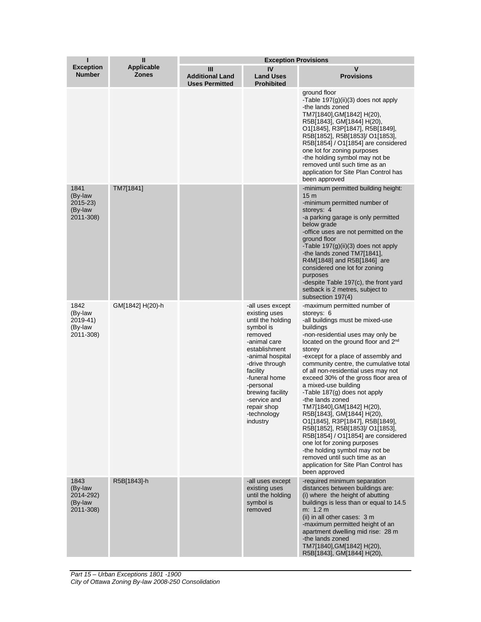| ı                                                      | $\mathbf{I}$                      | <b>Exception Provisions</b>                          |                                                                                                                                                                                                                                                                               |                                                                                                                                                                                                                                                                                                                                                                                                                                                                                                                                                                                                                                                                                                                                                                                 |  |
|--------------------------------------------------------|-----------------------------------|------------------------------------------------------|-------------------------------------------------------------------------------------------------------------------------------------------------------------------------------------------------------------------------------------------------------------------------------|---------------------------------------------------------------------------------------------------------------------------------------------------------------------------------------------------------------------------------------------------------------------------------------------------------------------------------------------------------------------------------------------------------------------------------------------------------------------------------------------------------------------------------------------------------------------------------------------------------------------------------------------------------------------------------------------------------------------------------------------------------------------------------|--|
| <b>Exception</b><br><b>Number</b>                      | <b>Applicable</b><br><b>Zones</b> | Ш<br><b>Additional Land</b><br><b>Uses Permitted</b> | IV<br><b>Land Uses</b><br><b>Prohibited</b>                                                                                                                                                                                                                                   | v<br><b>Provisions</b>                                                                                                                                                                                                                                                                                                                                                                                                                                                                                                                                                                                                                                                                                                                                                          |  |
|                                                        |                                   |                                                      |                                                                                                                                                                                                                                                                               | ground floor<br>-Table 197(g)(ii)(3) does not apply<br>-the lands zoned<br>TM7[1840],GM[1842] H(20),<br>R5B[1843], GM[1844] H(20),<br>O1[1845], R3P[1847], R5B[1849],<br>R5B[1852], R5B[1853]/ O1[1853],<br>R5B[1854] / O1[1854] are considered<br>one lot for zoning purposes<br>-the holding symbol may not be<br>removed until such time as an<br>application for Site Plan Control has<br>been approved                                                                                                                                                                                                                                                                                                                                                                     |  |
| 1841<br>(By-law<br>$2015 - 23$<br>(By-law<br>2011-308) | TM7[1841]                         |                                                      |                                                                                                                                                                                                                                                                               | -minimum permitted building height:<br>15 <sub>m</sub><br>-minimum permitted number of<br>storeys: 4<br>-a parking garage is only permitted<br>below grade<br>-office uses are not permitted on the<br>ground floor<br>-Table $197(g)(ii)(3)$ does not apply<br>-the lands zoned TM7[1841],<br>R4M[1848] and R5B[1846] are<br>considered one lot for zoning<br>purposes<br>-despite Table 197(c), the front yard<br>setback is 2 metres, subject to<br>subsection 197(4)                                                                                                                                                                                                                                                                                                        |  |
| 1842<br>(By-law<br>2019-41)<br>(By-law<br>2011-308)    | GM[1842] H(20)-h                  |                                                      | -all uses except<br>existing uses<br>until the holding<br>symbol is<br>removed<br>-animal care<br>establishment<br>-animal hospital<br>-drive through<br>facility<br>-funeral home<br>-personal<br>brewing facility<br>-service and<br>repair shop<br>-technology<br>industry | -maximum permitted number of<br>storeys: 6<br>-all buildings must be mixed-use<br>buildings<br>-non-residential uses may only be<br>located on the ground floor and 2 <sup>nd</sup><br>storey<br>-except for a place of assembly and<br>community centre, the cumulative total<br>of all non-residential uses may not<br>exceed 30% of the gross floor area of<br>a mixed-use building<br>-Table 187(g) does not apply<br>-the lands zoned<br>TM7[1840], GM[1842] H(20),<br>R5B[1843], GM[1844] H(20),<br>O1[1845], R3P[1847], R5B[1849],<br>R5B[1852], R5B[1853]/ O1[1853],<br>R5B[1854] / O1[1854] are considered<br>one lot for zoning purposes<br>-the holding symbol may not be<br>removed until such time as an<br>application for Site Plan Control has<br>been approved |  |
| 1843<br>(By-law<br>2014-292)<br>(By-law<br>2011-308)   | R5B[1843]-h                       |                                                      | -all uses except<br>existing uses<br>until the holding<br>symbol is<br>removed                                                                                                                                                                                                | -required minimum separation<br>distances between buildings are:<br>(i) where the height of abutting<br>buildings is less than or equal to 14.5<br>m: 1.2 m<br>(ii) in all other cases: 3 m<br>-maximum permitted height of an<br>apartment dwelling mid rise: 28 m<br>-the lands zoned<br>TM7[1840], GM[1842] H(20),<br>R5B[1843], GM[1844] H(20),                                                                                                                                                                                                                                                                                                                                                                                                                             |  |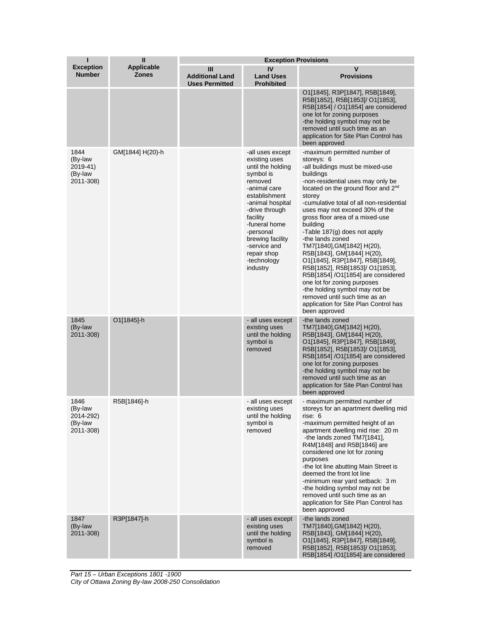| ı                                                    | $\mathbf{I}$               | <b>Exception Provisions</b>                          |                                                                                                                                                                                                                                                                               |                                                                                                                                                                                                                                                                                                                                                                                                                                                                                                                                                                                                                                                                                                                    |  |
|------------------------------------------------------|----------------------------|------------------------------------------------------|-------------------------------------------------------------------------------------------------------------------------------------------------------------------------------------------------------------------------------------------------------------------------------|--------------------------------------------------------------------------------------------------------------------------------------------------------------------------------------------------------------------------------------------------------------------------------------------------------------------------------------------------------------------------------------------------------------------------------------------------------------------------------------------------------------------------------------------------------------------------------------------------------------------------------------------------------------------------------------------------------------------|--|
| <b>Exception</b><br><b>Number</b>                    | Applicable<br><b>Zones</b> | Ш<br><b>Additional Land</b><br><b>Uses Permitted</b> | IV<br><b>Land Uses</b><br><b>Prohibited</b>                                                                                                                                                                                                                                   | v<br><b>Provisions</b>                                                                                                                                                                                                                                                                                                                                                                                                                                                                                                                                                                                                                                                                                             |  |
|                                                      |                            |                                                      |                                                                                                                                                                                                                                                                               | O1[1845], R3P[1847], R5B[1849],<br>R5B[1852], R5B[1853]/ O1[1853],<br>R5B[1854] / O1[1854] are considered<br>one lot for zoning purposes<br>-the holding symbol may not be<br>removed until such time as an<br>application for Site Plan Control has<br>been approved                                                                                                                                                                                                                                                                                                                                                                                                                                              |  |
| 1844<br>(By-law<br>2019-41)<br>(By-law<br>2011-308)  | GM[1844] H(20)-h           |                                                      | -all uses except<br>existing uses<br>until the holding<br>symbol is<br>removed<br>-animal care<br>establishment<br>-animal hospital<br>-drive through<br>facility<br>-funeral home<br>-personal<br>brewing facility<br>-service and<br>repair shop<br>-technology<br>industry | -maximum permitted number of<br>storeys: 6<br>-all buildings must be mixed-use<br>buildings<br>-non-residential uses may only be<br>located on the ground floor and 2 <sup>nd</sup><br>storey<br>-cumulative total of all non-residential<br>uses may not exceed 30% of the<br>gross floor area of a mixed-use<br>building<br>-Table 187(g) does not apply<br>-the lands zoned<br>TM7[1840], GM[1842] H(20),<br>R5B[1843], GM[1844] H(20),<br>O1[1845], R3P[1847], R5B[1849],<br>R5B[1852], R5B[1853]/ O1[1853],<br>R5B[1854] /O1[1854] are considered<br>one lot for zoning purposes<br>-the holding symbol may not be<br>removed until such time as an<br>application for Site Plan Control has<br>been approved |  |
| 1845<br>(By-law<br>2011-308)                         | O1[1845]-h                 |                                                      | - all uses except<br>existing uses<br>until the holding<br>symbol is<br>removed                                                                                                                                                                                               | -the lands zoned<br>TM7[1840], GM[1842] H(20),<br>R5B[1843], GM[1844] H(20),<br>O1[1845], R3P[1847], R5B[1849],<br>R5B[1852], R5B[1853]/ O1[1853],<br>R5B[1854] /O1[1854] are considered<br>one lot for zoning purposes<br>-the holding symbol may not be<br>removed until such time as an<br>application for Site Plan Control has<br>been approved                                                                                                                                                                                                                                                                                                                                                               |  |
| 1846<br>(By-law<br>2014-292)<br>(By-law<br>2011-308) | R5B[1846]-h                |                                                      | - all uses except<br>existing uses<br>until the holding<br>symbol is<br>removed                                                                                                                                                                                               | - maximum permitted number of<br>storeys for an apartment dwelling mid<br>rise: 6<br>-maximum permitted height of an<br>apartment dwelling mid rise: 20 m<br>-the lands zoned TM7[1841],<br>R4M[1848] and R5B[1846] are<br>considered one lot for zoning<br>purposes<br>-the lot line abutting Main Street is<br>deemed the front lot line<br>-minimum rear yard setback: 3 m<br>-the holding symbol may not be<br>removed until such time as an<br>application for Site Plan Control has<br>been approved                                                                                                                                                                                                         |  |
| 1847<br>(By-law<br>2011-308)                         | R3P[1847]-h                |                                                      | - all uses except<br>existing uses<br>until the holding<br>symbol is<br>removed                                                                                                                                                                                               | -the lands zoned<br>TM7[1840], GM[1842] H(20),<br>R5B[1843], GM[1844] H(20),<br>O1[1845], R3P[1847], R5B[1849],<br>R5B[1852], R5B[1853]/ O1[1853],<br>R5B[1854] /O1[1854] are considered                                                                                                                                                                                                                                                                                                                                                                                                                                                                                                                           |  |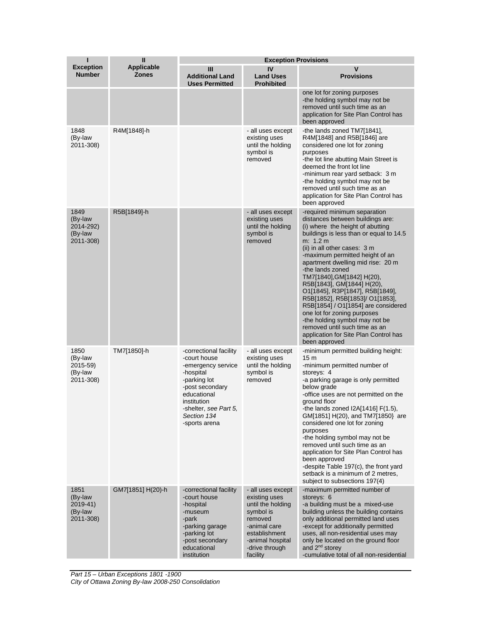| п                                                    | $\mathbf{I}$                      | <b>Exception Provisions</b>                                                                                                                                                                         |                                                                                                                                                                    |                                                                                                                                                                                                                                                                                                                                                                                                                                                                                                                                                                                                                              |  |
|------------------------------------------------------|-----------------------------------|-----------------------------------------------------------------------------------------------------------------------------------------------------------------------------------------------------|--------------------------------------------------------------------------------------------------------------------------------------------------------------------|------------------------------------------------------------------------------------------------------------------------------------------------------------------------------------------------------------------------------------------------------------------------------------------------------------------------------------------------------------------------------------------------------------------------------------------------------------------------------------------------------------------------------------------------------------------------------------------------------------------------------|--|
| <b>Exception</b><br><b>Number</b>                    | <b>Applicable</b><br><b>Zones</b> | Ш<br><b>Additional Land</b><br><b>Uses Permitted</b>                                                                                                                                                | IV<br><b>Land Uses</b><br><b>Prohibited</b>                                                                                                                        | V<br><b>Provisions</b>                                                                                                                                                                                                                                                                                                                                                                                                                                                                                                                                                                                                       |  |
|                                                      |                                   |                                                                                                                                                                                                     |                                                                                                                                                                    | one lot for zoning purposes<br>-the holding symbol may not be<br>removed until such time as an<br>application for Site Plan Control has<br>been approved                                                                                                                                                                                                                                                                                                                                                                                                                                                                     |  |
| 1848<br>(By-law<br>2011-308)                         | R4M[1848]-h                       |                                                                                                                                                                                                     | - all uses except<br>existing uses<br>until the holding<br>symbol is<br>removed                                                                                    | -the lands zoned TM7[1841],<br>R4M[1848] and R5B[1846] are<br>considered one lot for zoning<br>purposes<br>-the lot line abutting Main Street is<br>deemed the front lot line<br>-minimum rear yard setback: 3 m<br>-the holding symbol may not be<br>removed until such time as an<br>application for Site Plan Control has<br>been approved                                                                                                                                                                                                                                                                                |  |
| 1849<br>(By-law<br>2014-292)<br>(By-law<br>2011-308) | R5B[1849]-h                       |                                                                                                                                                                                                     | - all uses except<br>existing uses<br>until the holding<br>symbol is<br>removed                                                                                    | -required minimum separation<br>distances between buildings are:<br>(i) where the height of abutting<br>buildings is less than or equal to 14.5<br>m: 1.2 m<br>(ii) in all other cases: 3 m<br>-maximum permitted height of an<br>apartment dwelling mid rise: 20 m<br>-the lands zoned<br>TM7[1840], GM[1842] H(20),<br>R5B[1843], GM[1844] H(20),<br>O1[1845], R3P[1847], R5B[1849],<br>R5B[1852], R5B[1853]/ O1[1853],<br>R5B[1854] / O1[1854] are considered<br>one lot for zoning purposes<br>-the holding symbol may not be<br>removed until such time as an<br>application for Site Plan Control has<br>been approved |  |
| 1850<br>(By-law<br>2015-59)<br>(By-law<br>2011-308)  | TM7[1850]-h                       | -correctional facility<br>-court house<br>-emergency service<br>-hospital<br>-parking lot<br>-post secondary<br>educational<br>institution<br>-shelter, see Part 5,<br>Section 134<br>-sports arena | - all uses except<br>existing uses<br>until the holding<br>symbol is<br>removed                                                                                    | -minimum permitted building height:<br>15 <sub>m</sub><br>-minimum permitted number of<br>storeys: 4<br>-a parking garage is only permitted<br>below grade<br>-office uses are not permitted on the<br>around floor<br>-the lands zoned I2A[1416] F(1.5),<br>GM[1851] H(20), and TM7[1850} are<br>considered one lot for zoning<br>purposes<br>-the holding symbol may not be<br>removed until such time as an<br>application for Site Plan Control has<br>been approved<br>-despite Table 197(c), the front yard<br>setback is a minimum of 2 metres,<br>subject to subsections 197(4)                                      |  |
| 1851<br>(By-law<br>2019-41)<br>(By-law<br>2011-308)  | GM7[1851] H(20)-h                 | -correctional facility<br>-court house<br>-hospital<br>-museum<br>-park<br>-parking garage<br>-parking lot<br>-post secondary<br>educational<br>institution                                         | - all uses except<br>existing uses<br>until the holding<br>symbol is<br>removed<br>-animal care<br>establishment<br>-animal hospital<br>-drive through<br>facility | -maximum permitted number of<br>storeys: 6<br>-a building must be a mixed-use<br>building unless the building contains<br>only additional permitted land uses<br>-except for additionally permitted<br>uses, all non-residential uses may<br>only be located on the ground floor<br>and 2 <sup>nd</sup> storey<br>-cumulative total of all non-residential                                                                                                                                                                                                                                                                   |  |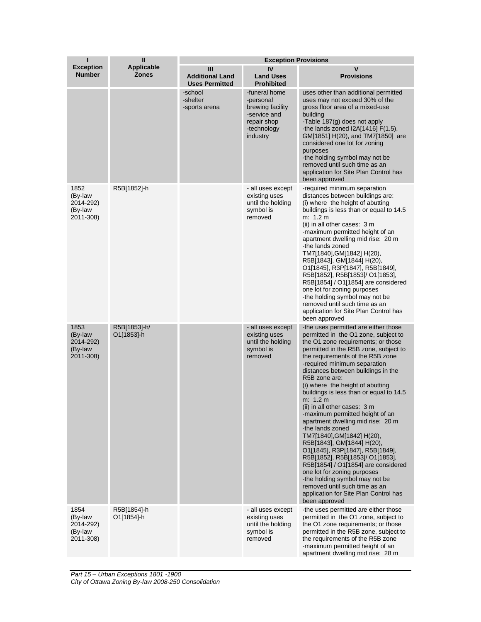| ı                                                    | $\mathbf{I}$                      | <b>Exception Provisions</b>                          |                                                                                                          |                                                                                                                                                                                                                                                                                                                                                                                                                                                                                                                                                                                                                                                                                                                                                                                                                                                    |  |
|------------------------------------------------------|-----------------------------------|------------------------------------------------------|----------------------------------------------------------------------------------------------------------|----------------------------------------------------------------------------------------------------------------------------------------------------------------------------------------------------------------------------------------------------------------------------------------------------------------------------------------------------------------------------------------------------------------------------------------------------------------------------------------------------------------------------------------------------------------------------------------------------------------------------------------------------------------------------------------------------------------------------------------------------------------------------------------------------------------------------------------------------|--|
| <b>Exception</b><br><b>Number</b>                    | <b>Applicable</b><br><b>Zones</b> | Ш<br><b>Additional Land</b><br><b>Uses Permitted</b> | IV<br><b>Land Uses</b><br><b>Prohibited</b>                                                              | V<br><b>Provisions</b>                                                                                                                                                                                                                                                                                                                                                                                                                                                                                                                                                                                                                                                                                                                                                                                                                             |  |
|                                                      |                                   | -school<br>-shelter<br>-sports arena                 | -funeral home<br>-personal<br>brewing facility<br>-service and<br>repair shop<br>-technology<br>industry | uses other than additional permitted<br>uses may not exceed 30% of the<br>gross floor area of a mixed-use<br>building<br>-Table 187(g) does not apply<br>-the lands zoned $12A[1416] F(1.5)$ ,<br>GM[1851] H(20), and TM7[1850] are<br>considered one lot for zoning<br>purposes<br>-the holding symbol may not be<br>removed until such time as an<br>application for Site Plan Control has<br>been approved                                                                                                                                                                                                                                                                                                                                                                                                                                      |  |
| 1852<br>(By-law<br>2014-292)<br>(By-law<br>2011-308) | R5B[1852]-h                       |                                                      | - all uses except<br>existing uses<br>until the holding<br>symbol is<br>removed                          | -required minimum separation<br>distances between buildings are:<br>(i) where the height of abutting<br>buildings is less than or equal to 14.5<br>m: 1.2 m<br>(ii) in all other cases: 3 m<br>-maximum permitted height of an<br>apartment dwelling mid rise: 20 m<br>-the lands zoned<br>TM7[1840], GM[1842] H(20),<br>R5B[1843], GM[1844] H(20),<br>O1[1845], R3P[1847], R5B[1849],<br>R5B[1852], R5B[1853]/ O1[1853],<br>R5B[1854] / O1[1854] are considered<br>one lot for zoning purposes<br>-the holding symbol may not be<br>removed until such time as an<br>application for Site Plan Control has<br>been approved                                                                                                                                                                                                                       |  |
| 1853<br>(By-law<br>2014-292)<br>(By-law<br>2011-308) | R5B[1853]-h/<br>O1[1853]-h        |                                                      | - all uses except<br>existing uses<br>until the holding<br>symbol is<br>removed                          | -the uses permitted are either those<br>permitted in the O1 zone, subject to<br>the O1 zone requirements; or those<br>permitted in the R5B zone, subject to<br>the requirements of the R5B zone<br>-required minimum separation<br>distances between buildings in the<br>R5B zone are:<br>(i) where the height of abutting<br>buildings is less than or equal to 14.5<br>m: 1.2 m<br>(ii) in all other cases: 3 m<br>-maximum permitted height of an<br>apartment dwelling mid rise: 20 m<br>-the lands zoned<br>TM7[1840], GM[1842] H(20),<br>R5B[1843], GM[1844] H(20),<br>O1[1845], R3P[1847], R5B[1849],<br>R5B[1852], R5B[1853]/ O1[1853],<br>R5B[1854] / O1[1854] are considered<br>one lot for zoning purposes<br>-the holding symbol may not be<br>removed until such time as an<br>application for Site Plan Control has<br>been approved |  |
| 1854<br>(By-law<br>2014-292)<br>(By-law<br>2011-308) | R5B[1854]-h<br>O1[1854]-h         |                                                      | - all uses except<br>existing uses<br>until the holding<br>symbol is<br>removed                          | -the uses permitted are either those<br>permitted in the O1 zone, subject to<br>the O1 zone requirements; or those<br>permitted in the R5B zone, subject to<br>the requirements of the R5B zone<br>-maximum permitted height of an<br>apartment dwelling mid rise: 28 m                                                                                                                                                                                                                                                                                                                                                                                                                                                                                                                                                                            |  |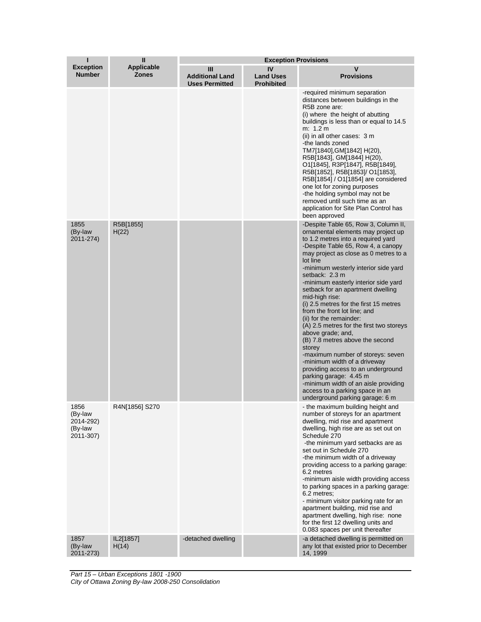|                                                              | $\mathbf{I}$                | <b>Exception Provisions</b>                          |                                             |                                                                                                                                                                                                                                                                                                                                                                                                                                                                                                                                                                                                                                                                                                                                                                                                                                            |
|--------------------------------------------------------------|-----------------------------|------------------------------------------------------|---------------------------------------------|--------------------------------------------------------------------------------------------------------------------------------------------------------------------------------------------------------------------------------------------------------------------------------------------------------------------------------------------------------------------------------------------------------------------------------------------------------------------------------------------------------------------------------------------------------------------------------------------------------------------------------------------------------------------------------------------------------------------------------------------------------------------------------------------------------------------------------------------|
| <b>Exception</b><br><b>Number</b>                            | <b>Applicable</b><br>Zones  | Ш<br><b>Additional Land</b><br><b>Uses Permitted</b> | IV<br><b>Land Uses</b><br><b>Prohibited</b> | v<br><b>Provisions</b>                                                                                                                                                                                                                                                                                                                                                                                                                                                                                                                                                                                                                                                                                                                                                                                                                     |
|                                                              |                             |                                                      |                                             | -required minimum separation<br>distances between buildings in the<br>R5B zone are:<br>(i) where the height of abutting<br>buildings is less than or equal to 14.5<br>m: 1.2 m<br>(ii) in all other cases: 3 m<br>-the lands zoned<br>TM7[1840],GM[1842] H(20),<br>R5B[1843], GM[1844] H(20),<br>O1[1845], R3P[1847], R5B[1849],<br>R5B[1852], R5B[1853]/ O1[1853],<br>R5B[1854] / O1[1854] are considered<br>one lot for zoning purposes<br>-the holding symbol may not be<br>removed until such time as an<br>application for Site Plan Control has<br>been approved                                                                                                                                                                                                                                                                     |
| 1855<br>(By-law<br>2011-274)                                 | R5B[1855]<br>H(22)          |                                                      |                                             | -Despite Table 65, Row 3, Column II,<br>ornamental elements may project up<br>to 1.2 metres into a required yard<br>-Despite Table 65, Row 4, a canopy<br>may project as close as 0 metres to a<br>lot line<br>-minimum westerly interior side yard<br>setback: 2.3 m<br>-minimum easterly interior side yard<br>setback for an apartment dwelling<br>mid-high rise:<br>(i) 2.5 metres for the first 15 metres<br>from the front lot line; and<br>(ii) for the remainder:<br>(A) 2.5 metres for the first two storeys<br>above grade; and,<br>(B) 7.8 metres above the second<br>storey<br>-maximum number of storeys: seven<br>-minimum width of a driveway<br>providing access to an underground<br>parking garage: 4.45 m<br>-minimum width of an aisle providing<br>access to a parking space in an<br>underground parking garage: 6 m |
| 1856<br>(By-law<br>2014-292)<br>(By-law<br>2011-307)<br>1857 | R4N[1856] S270<br>IL2[1857] | -detached dwelling                                   |                                             | - the maximum building height and<br>number of storeys for an apartment<br>dwelling, mid rise and apartment<br>dwelling, high rise are as set out on<br>Schedule 270<br>-the minimum yard setbacks are as<br>set out in Schedule 270<br>-the minimum width of a driveway<br>providing access to a parking garage:<br>6.2 metres<br>-minimum aisle width providing access<br>to parking spaces in a parking garage:<br>6.2 metres:<br>- minimum visitor parking rate for an<br>apartment building, mid rise and<br>apartment dwelling, high rise: none<br>for the first 12 dwelling units and<br>0.083 spaces per unit thereafter<br>-a detached dwelling is permitted on                                                                                                                                                                   |
| (By-law<br>2011-273)                                         | H(14)                       |                                                      |                                             | any lot that existed prior to December<br>14, 1999                                                                                                                                                                                                                                                                                                                                                                                                                                                                                                                                                                                                                                                                                                                                                                                         |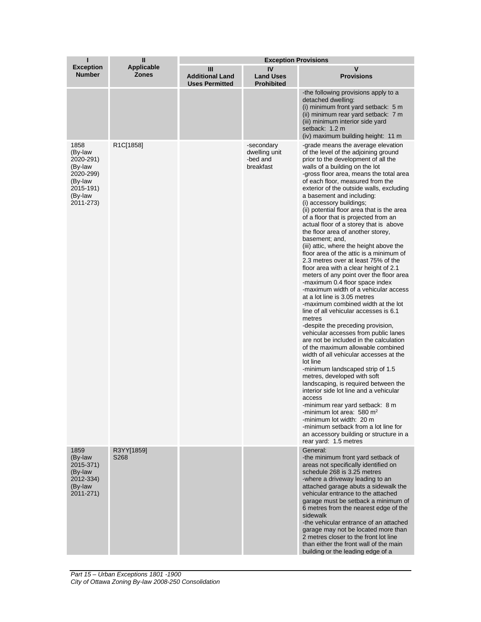| ı                                                                                                    | Ш                                 | <b>Exception Provisions</b>                          |                                                      |                                                                                                                                                                                                                                                                                                                                                                                                                                                                                                                                                                                                                                                                                                                                                                                                                                                                                                                                                                                                                                                                                                                                                                                                                                                                                                                                                                                                                                                                                                                                               |  |
|------------------------------------------------------------------------------------------------------|-----------------------------------|------------------------------------------------------|------------------------------------------------------|-----------------------------------------------------------------------------------------------------------------------------------------------------------------------------------------------------------------------------------------------------------------------------------------------------------------------------------------------------------------------------------------------------------------------------------------------------------------------------------------------------------------------------------------------------------------------------------------------------------------------------------------------------------------------------------------------------------------------------------------------------------------------------------------------------------------------------------------------------------------------------------------------------------------------------------------------------------------------------------------------------------------------------------------------------------------------------------------------------------------------------------------------------------------------------------------------------------------------------------------------------------------------------------------------------------------------------------------------------------------------------------------------------------------------------------------------------------------------------------------------------------------------------------------------|--|
| <b>Exception</b><br><b>Number</b>                                                                    | <b>Applicable</b><br><b>Zones</b> | Ш<br><b>Additional Land</b><br><b>Uses Permitted</b> | IV<br><b>Land Uses</b><br><b>Prohibited</b>          | V<br><b>Provisions</b>                                                                                                                                                                                                                                                                                                                                                                                                                                                                                                                                                                                                                                                                                                                                                                                                                                                                                                                                                                                                                                                                                                                                                                                                                                                                                                                                                                                                                                                                                                                        |  |
|                                                                                                      |                                   |                                                      |                                                      | -the following provisions apply to a<br>detached dwelling:<br>(i) minimum front yard setback: 5 m<br>(ii) minimum rear yard setback: 7 m<br>(iii) minimum interior side yard<br>setback: 1.2 m<br>(iv) maximum building height: 11 m                                                                                                                                                                                                                                                                                                                                                                                                                                                                                                                                                                                                                                                                                                                                                                                                                                                                                                                                                                                                                                                                                                                                                                                                                                                                                                          |  |
| 1858<br>(By-law<br>2020-291)<br>(By-law<br>2020-299)<br>(By-law<br>2015-191)<br>(By-law<br>2011-273) | R1C[1858]                         |                                                      | -secondary<br>dwelling unit<br>-bed and<br>breakfast | -grade means the average elevation<br>of the level of the adjoining ground<br>prior to the development of all the<br>walls of a building on the lot<br>-gross floor area, means the total area<br>of each floor, measured from the<br>exterior of the outside walls, excluding<br>a basement and including:<br>(i) accessory buildings;<br>(ii) potential floor area that is the area<br>of a floor that is projected from an<br>actual floor of a storey that is above<br>the floor area of another storey,<br>basement; and,<br>(iii) attic, where the height above the<br>floor area of the attic is a minimum of<br>2.3 metres over at least 75% of the<br>floor area with a clear height of 2.1<br>meters of any point over the floor area<br>-maximum 0.4 floor space index<br>-maximum width of a vehicular access<br>at a lot line is 3.05 metres<br>-maximum combined width at the lot<br>line of all vehicular accesses is 6.1<br>metres<br>-despite the preceding provision,<br>vehicular accesses from public lanes<br>are not be included in the calculation<br>of the maximum allowable combined<br>width of all vehicular accesses at the<br>lot line<br>-minimum landscaped strip of 1.5<br>metres, developed with soft<br>landscaping, is required between the<br>interior side lot line and a vehicular<br>access<br>-minimum rear yard setback: 8 m<br>-minimum lot area: 580 $m2$<br>-minimum lot width: 20 m<br>-minimum setback from a lot line for<br>an accessory building or structure in a<br>rear yard: 1.5 metres |  |
| 1859<br>(By-law<br>2015-371)<br>(By-law<br>2012-334)<br>(By-law<br>2011-271)                         | R3YY[1859]<br>S268                |                                                      |                                                      | General:<br>-the minimum front yard setback of<br>areas not specifically identified on<br>schedule 268 is 3.25 metres<br>-where a driveway leading to an<br>attached garage abuts a sidewalk the<br>vehicular entrance to the attached<br>garage must be setback a minimum of<br>6 metres from the nearest edge of the<br>sidewalk<br>-the vehicular entrance of an attached<br>garage may not be located more than<br>2 metres closer to the front lot line<br>than either the front wall of the main<br>building or the leading edge of a                                                                                                                                                                                                                                                                                                                                                                                                                                                                                                                                                                                                                                                                                                                                                                                                                                                                                                                                                                                                   |  |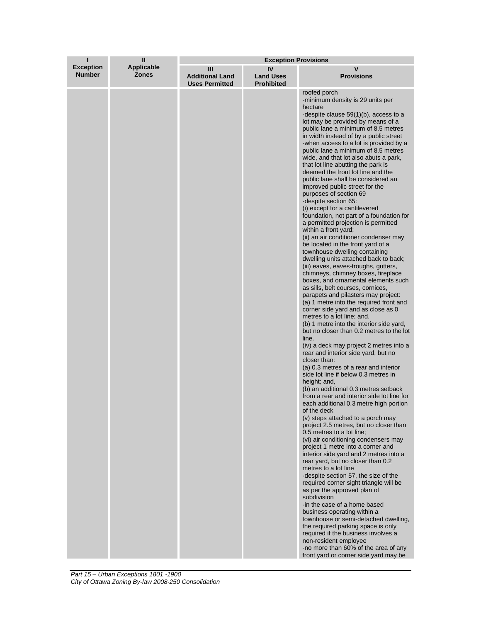| ı                                 | $\mathbf{I}$               | <b>Exception Provisions</b>                          |                                             |                                                                                                                                                                                                                                                                                                                                                                                                                                                                                                                                                                                                                                                                                                                                                                                                                                                                                                                                                                                                                                                                                                                                                                                                                                                                                                                                                                                                                                                                                                                                                                                                                                                                                                                                                                                                                                                                                                                                                                                                                                                                                                                                                                                                                                                                                                                                                                   |
|-----------------------------------|----------------------------|------------------------------------------------------|---------------------------------------------|-------------------------------------------------------------------------------------------------------------------------------------------------------------------------------------------------------------------------------------------------------------------------------------------------------------------------------------------------------------------------------------------------------------------------------------------------------------------------------------------------------------------------------------------------------------------------------------------------------------------------------------------------------------------------------------------------------------------------------------------------------------------------------------------------------------------------------------------------------------------------------------------------------------------------------------------------------------------------------------------------------------------------------------------------------------------------------------------------------------------------------------------------------------------------------------------------------------------------------------------------------------------------------------------------------------------------------------------------------------------------------------------------------------------------------------------------------------------------------------------------------------------------------------------------------------------------------------------------------------------------------------------------------------------------------------------------------------------------------------------------------------------------------------------------------------------------------------------------------------------------------------------------------------------------------------------------------------------------------------------------------------------------------------------------------------------------------------------------------------------------------------------------------------------------------------------------------------------------------------------------------------------------------------------------------------------------------------------------------------------|
| <b>Exception</b><br><b>Number</b> | Applicable<br><b>Zones</b> | Ш<br><b>Additional Land</b><br><b>Uses Permitted</b> | IV<br><b>Land Uses</b><br><b>Prohibited</b> | v<br><b>Provisions</b>                                                                                                                                                                                                                                                                                                                                                                                                                                                                                                                                                                                                                                                                                                                                                                                                                                                                                                                                                                                                                                                                                                                                                                                                                                                                                                                                                                                                                                                                                                                                                                                                                                                                                                                                                                                                                                                                                                                                                                                                                                                                                                                                                                                                                                                                                                                                            |
|                                   |                            |                                                      |                                             | roofed porch<br>-minimum density is 29 units per<br>hectare<br>-despite clause $59(1)(b)$ , access to a<br>lot may be provided by means of a<br>public lane a minimum of 8.5 metres<br>in width instead of by a public street<br>-when access to a lot is provided by a<br>public lane a minimum of 8.5 metres<br>wide, and that lot also abuts a park,<br>that lot line abutting the park is<br>deemed the front lot line and the<br>public lane shall be considered an<br>improved public street for the<br>purposes of section 69<br>-despite section 65:<br>(i) except for a cantilevered<br>foundation, not part of a foundation for<br>a permitted projection is permitted<br>within a front yard;<br>(ii) an air conditioner condenser may<br>be located in the front yard of a<br>townhouse dwelling containing<br>dwelling units attached back to back;<br>(iii) eaves, eaves-troughs, gutters,<br>chimneys, chimney boxes, fireplace<br>boxes, and ornamental elements such<br>as sills, belt courses, cornices,<br>parapets and pilasters may project:<br>(a) 1 metre into the required front and<br>corner side yard and as close as 0<br>metres to a lot line; and,<br>(b) 1 metre into the interior side yard,<br>but no closer than 0.2 metres to the lot<br>line.<br>(iv) a deck may project 2 metres into a<br>rear and interior side yard, but no<br>closer than:<br>(a) 0.3 metres of a rear and interior<br>side lot line if below 0.3 metres in<br>height; and,<br>(b) an additional 0.3 metres setback<br>from a rear and interior side lot line for<br>each additional 0.3 metre high portion<br>of the deck<br>(v) steps attached to a porch may<br>project 2.5 metres, but no closer than<br>0.5 metres to a lot line;<br>(vi) air conditioning condensers may<br>project 1 metre into a corner and<br>interior side yard and 2 metres into a<br>rear yard, but no closer than 0.2<br>metres to a lot line<br>-despite section 57, the size of the<br>required corner sight triangle will be<br>as per the approved plan of<br>subdivision<br>-in the case of a home based<br>business operating within a<br>townhouse or semi-detached dwelling,<br>the required parking space is only<br>required if the business involves a<br>non-resident employee<br>-no more than 60% of the area of any<br>front yard or corner side yard may be |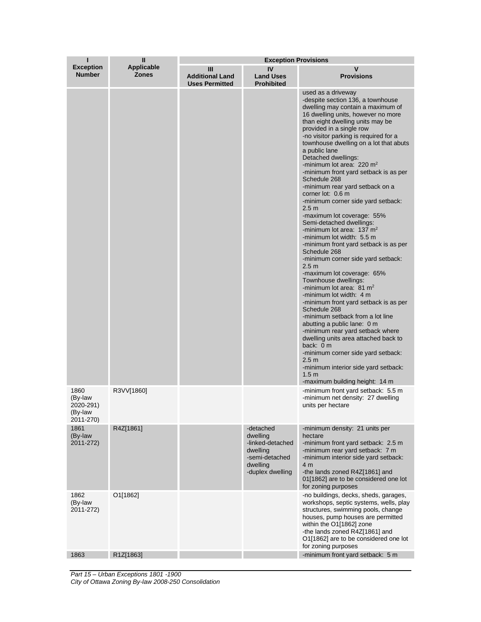| ı                                                    | $\mathbf{I}$                      | <b>Exception Provisions</b>                          |                                                                                                         |                                                                                                                                                                                                                                                                                                                                                                                                                                                                                                                                                                                                                                                                                                                                                                                                                                                                                                                                                                                                                                                                                                                                                                                                                                                                                                         |  |
|------------------------------------------------------|-----------------------------------|------------------------------------------------------|---------------------------------------------------------------------------------------------------------|---------------------------------------------------------------------------------------------------------------------------------------------------------------------------------------------------------------------------------------------------------------------------------------------------------------------------------------------------------------------------------------------------------------------------------------------------------------------------------------------------------------------------------------------------------------------------------------------------------------------------------------------------------------------------------------------------------------------------------------------------------------------------------------------------------------------------------------------------------------------------------------------------------------------------------------------------------------------------------------------------------------------------------------------------------------------------------------------------------------------------------------------------------------------------------------------------------------------------------------------------------------------------------------------------------|--|
| <b>Exception</b><br><b>Number</b>                    | <b>Applicable</b><br><b>Zones</b> | Ш<br><b>Additional Land</b><br><b>Uses Permitted</b> | IV<br><b>Land Uses</b><br><b>Prohibited</b>                                                             | <b>Provisions</b>                                                                                                                                                                                                                                                                                                                                                                                                                                                                                                                                                                                                                                                                                                                                                                                                                                                                                                                                                                                                                                                                                                                                                                                                                                                                                       |  |
|                                                      |                                   |                                                      |                                                                                                         | used as a driveway<br>-despite section 136, a townhouse<br>dwelling may contain a maximum of<br>16 dwelling units, however no more<br>than eight dwelling units may be<br>provided in a single row<br>-no visitor parking is required for a<br>townhouse dwelling on a lot that abuts<br>a public lane<br>Detached dwellings:<br>-minimum lot area: $220 \text{ m}^2$<br>-minimum front yard setback is as per<br>Schedule 268<br>-minimum rear yard setback on a<br>corner lot: 0.6 m<br>-minimum corner side yard setback:<br>2.5 <sub>m</sub><br>-maximum lot coverage: 55%<br>Semi-detached dwellings:<br>-minimum lot area: $137 \text{ m}^2$<br>-minimum lot width: 5.5 m<br>-minimum front yard setback is as per<br>Schedule 268<br>-minimum corner side yard setback:<br>2.5 <sub>m</sub><br>-maximum lot coverage: 65%<br>Townhouse dwellings:<br>-minimum lot area: $81 \text{ m}^2$<br>-minimum lot width: 4 m<br>-minimum front yard setback is as per<br>Schedule 268<br>-minimum setback from a lot line<br>abutting a public lane: 0 m<br>-minimum rear yard setback where<br>dwelling units area attached back to<br>back: 0 m<br>-minimum corner side yard setback:<br>2.5 <sub>m</sub><br>-minimum interior side yard setback:<br>1.5 <sub>m</sub><br>-maximum building height: 14 m |  |
| 1860<br>(By-law<br>2020-291)<br>(By-law<br>2011-270) | R3VV[1860]                        |                                                      |                                                                                                         | -minimum front yard setback: 5.5 m<br>-minimum net density: 27 dwelling<br>units per hectare                                                                                                                                                                                                                                                                                                                                                                                                                                                                                                                                                                                                                                                                                                                                                                                                                                                                                                                                                                                                                                                                                                                                                                                                            |  |
| 1861<br>(By-law<br>2011-272)                         | R4Z[1861]                         |                                                      | -detached<br>dwelling<br>-linked-detached<br>dwelling<br>-semi-detached<br>dwelling<br>-duplex dwelling | -minimum density: 21 units per<br>hectare<br>-minimum front yard setback: 2.5 m<br>-minimum rear yard setback: 7 m<br>-minimum interior side yard setback:<br>4 m<br>-the lands zoned R4Z[1861] and<br>01[1862] are to be considered one lot<br>for zoning purposes                                                                                                                                                                                                                                                                                                                                                                                                                                                                                                                                                                                                                                                                                                                                                                                                                                                                                                                                                                                                                                     |  |
| 1862<br>(By-law<br>2011-272)                         | O1[1862]                          |                                                      |                                                                                                         | -no buildings, decks, sheds, garages,<br>workshops, septic systems, wells, play<br>structures, swimming pools, change<br>houses, pump houses are permitted<br>within the O1[1862] zone<br>-the lands zoned R4Z[1861] and<br>O1[1862] are to be considered one lot<br>for zoning purposes                                                                                                                                                                                                                                                                                                                                                                                                                                                                                                                                                                                                                                                                                                                                                                                                                                                                                                                                                                                                                |  |
| 1863                                                 | R1Z[1863]                         |                                                      |                                                                                                         | -minimum front yard setback: 5 m                                                                                                                                                                                                                                                                                                                                                                                                                                                                                                                                                                                                                                                                                                                                                                                                                                                                                                                                                                                                                                                                                                                                                                                                                                                                        |  |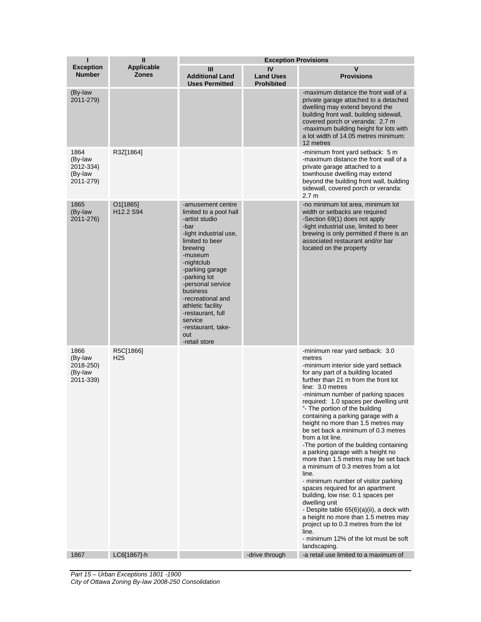| п                                                    | $\mathbf{I}$                                  | <b>Exception Provisions</b>                                                                                                                                                                                                                                                                                                                        |                                             |                                                                                                                                                                                                                                                                                                                                                                                                                                                                                                                                                                                                                                                                                                                                                                                                                                                                                                                                                     |
|------------------------------------------------------|-----------------------------------------------|----------------------------------------------------------------------------------------------------------------------------------------------------------------------------------------------------------------------------------------------------------------------------------------------------------------------------------------------------|---------------------------------------------|-----------------------------------------------------------------------------------------------------------------------------------------------------------------------------------------------------------------------------------------------------------------------------------------------------------------------------------------------------------------------------------------------------------------------------------------------------------------------------------------------------------------------------------------------------------------------------------------------------------------------------------------------------------------------------------------------------------------------------------------------------------------------------------------------------------------------------------------------------------------------------------------------------------------------------------------------------|
| <b>Exception</b><br><b>Number</b>                    | <b>Applicable</b><br><b>Zones</b>             | Ш<br><b>Additional Land</b><br><b>Uses Permitted</b>                                                                                                                                                                                                                                                                                               | IV<br><b>Land Uses</b><br><b>Prohibited</b> | V<br><b>Provisions</b>                                                                                                                                                                                                                                                                                                                                                                                                                                                                                                                                                                                                                                                                                                                                                                                                                                                                                                                              |
| (By-law<br>2011-279)                                 |                                               |                                                                                                                                                                                                                                                                                                                                                    |                                             | -maximum distance the front wall of a<br>private garage attached to a detached<br>dwelling may extend beyond the<br>building front wall, building sidewall,<br>covered porch or veranda: 2.7 m<br>-maximum building height for lots with<br>a lot width of 14.05 metres minimum:<br>12 metres                                                                                                                                                                                                                                                                                                                                                                                                                                                                                                                                                                                                                                                       |
| 1864<br>(By-law<br>2012-334)<br>(By-law<br>2011-279) | R3Z[1864]                                     |                                                                                                                                                                                                                                                                                                                                                    |                                             | -minimum front yard setback: 5 m<br>-maximum distance the front wall of a<br>private garage attached to a<br>townhouse dwelling may extend<br>beyond the building front wall, building<br>sidewall, covered porch or veranda:<br>2.7 <sub>m</sub>                                                                                                                                                                                                                                                                                                                                                                                                                                                                                                                                                                                                                                                                                                   |
| 1865<br>(By-law<br>2011-276)                         | O1[1865]<br>H <sub>12.2</sub> S <sub>94</sub> | -amusement centre<br>limited to a pool hall<br>-artist studio<br>-bar<br>-light industrial use,<br>limited to beer<br>brewing<br>-museum<br>-nightclub<br>-parking garage<br>-parking lot<br>-personal service<br>business<br>-recreational and<br>athletic facility<br>-restaurant, full<br>service<br>-restaurant, take-<br>out<br>-retail store |                                             | -no minimum lot area, minimum lot<br>width or setbacks are required<br>-Section 69(1) does not apply<br>-light industrial use, limited to beer<br>brewing is only permitted if there is an<br>associated restaurant and/or bar<br>located on the property                                                                                                                                                                                                                                                                                                                                                                                                                                                                                                                                                                                                                                                                                           |
| 1866<br>(By-law<br>2018-250)<br>(By-law<br>2011-339) | R5C[1866]<br>H <sub>25</sub>                  |                                                                                                                                                                                                                                                                                                                                                    |                                             | -minimum rear yard setback: 3.0<br>metres<br>-minimum interior side yard setback<br>for any part of a building located<br>further than 21 m from the front lot<br>line: 3.0 metres<br>-minimum number of parking spaces<br>required: 1.0 spaces per dwelling unit<br>"- The portion of the building<br>containing a parking garage with a<br>height no more than 1.5 metres may<br>be set back a minimum of 0.3 metres<br>from a lot line.<br>-The portion of the building containing<br>a parking garage with a height no<br>more than 1.5 metres may be set back<br>a minimum of 0.3 metres from a lot<br>line.<br>- minimum number of visitor parking<br>spaces required for an apartment<br>building, low rise: 0.1 spaces per<br>dwelling unit<br>- Despite table 65(6)(a)(ii), a deck with<br>a height no more than 1.5 metres may<br>project up to 0.3 metres from the lot<br>line.<br>- minimum 12% of the lot must be soft<br>landscaping. |
| 1867                                                 | LC6[1867]-h                                   |                                                                                                                                                                                                                                                                                                                                                    | -drive through                              | -a retail use limited to a maximum of                                                                                                                                                                                                                                                                                                                                                                                                                                                                                                                                                                                                                                                                                                                                                                                                                                                                                                               |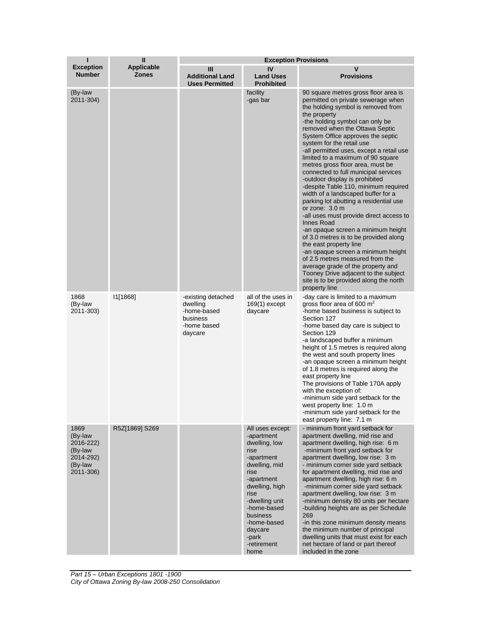| ı                                                                            | $\mathbf{I}$                      | <b>Exception Provisions</b>                                                         |                                                                                                                                                                                                                                               |                                                                                                                                                                                                                                                                                                                                                                                                                                                                                                                                                                                                                                                                                                                                                                                                                                                                                                                                                                                                            |  |
|------------------------------------------------------------------------------|-----------------------------------|-------------------------------------------------------------------------------------|-----------------------------------------------------------------------------------------------------------------------------------------------------------------------------------------------------------------------------------------------|------------------------------------------------------------------------------------------------------------------------------------------------------------------------------------------------------------------------------------------------------------------------------------------------------------------------------------------------------------------------------------------------------------------------------------------------------------------------------------------------------------------------------------------------------------------------------------------------------------------------------------------------------------------------------------------------------------------------------------------------------------------------------------------------------------------------------------------------------------------------------------------------------------------------------------------------------------------------------------------------------------|--|
| <b>Exception</b><br><b>Number</b>                                            | <b>Applicable</b><br><b>Zones</b> | Ш<br><b>Additional Land</b><br><b>Uses Permitted</b>                                | IV<br><b>Land Uses</b><br><b>Prohibited</b>                                                                                                                                                                                                   | V<br><b>Provisions</b>                                                                                                                                                                                                                                                                                                                                                                                                                                                                                                                                                                                                                                                                                                                                                                                                                                                                                                                                                                                     |  |
| (By-law<br>2011-304)                                                         |                                   |                                                                                     | facility<br>-gas bar                                                                                                                                                                                                                          | 90 square metres gross floor area is<br>permitted on private sewerage when<br>the holding symbol is removed from<br>the property<br>-the holding symbol can only be<br>removed when the Ottawa Septic<br>System Office approves the septic<br>system for the retail use<br>-all permitted uses, except a retail use<br>limited to a maximum of 90 square<br>metres gross floor area, must be<br>connected to full municipal services<br>-outdoor display is prohibited<br>-despite Table 110, minimum required<br>width of a landscaped buffer for a<br>parking lot abutting a residential use<br>or zone: 3.0 m<br>-all uses must provide direct access to<br><b>Innes Road</b><br>-an opaque screen a minimum height<br>of 3.0 metres is to be provided along<br>the east property line<br>-an opaque screen a minimum height<br>of 2.5 metres measured from the<br>average grade of the property and<br>Tooney Drive adjacent to the subject<br>site is to be provided along the north<br>property line |  |
| 1868<br>(By-law<br>2011-303)                                                 | 11[1868]                          | -existing detached<br>dwelling<br>-home-based<br>business<br>-home based<br>daycare | all of the uses in<br>$169(1)$ except<br>daycare                                                                                                                                                                                              | -day care is limited to a maximum<br>gross floor area of 600 $m2$<br>-home based business is subject to<br>Section 127<br>-home based day care is subject to<br>Section 129<br>-a landscaped buffer a minimum<br>height of 1.5 metres is required along<br>the west and south property lines<br>-an opaque screen a minimum height<br>of 1.8 metres is required along the<br>east property line<br>The provisions of Table 170A apply<br>with the exception of:<br>-minimum side yard setback for the<br>west property line: 1.0 m<br>-minimum side yard setback for the<br>east property line: 7.1 m                                                                                                                                                                                                                                                                                                                                                                                                      |  |
| 1869<br>(By-law<br>2016-222)<br>(By-law<br>2014-292)<br>(By-law<br>2011-306) | R5Z[1869] S269                    |                                                                                     | All uses except:<br>-apartment<br>dwelling, low<br>rise<br>-apartment<br>dwelling, mid<br>rise<br>-apartment<br>dwelling, high<br>rise<br>-dwelling unit<br>-home-based<br>business<br>-home-based<br>daycare<br>-park<br>-retirement<br>home | - minimum front yard setback for<br>apartment dwelling, mid rise and<br>apartment dwelling, high rise: 6 m<br>-minimum front vard setback for<br>apartment dwelling, low rise: 3 m<br>- minimum corner side yard setback<br>for apartment dwelling, mid rise and<br>apartment dwelling, high rise: 6 m<br>-minimum corner side yard setback<br>apartment dwelling, low rise: 3 m<br>-minimum density 80 units per hectare<br>-building heights are as per Schedule<br>269<br>-in this zone minimum density means<br>the minimum number of principal<br>dwelling units that must exist for each<br>net hectare of land or part thereof<br>included in the zone                                                                                                                                                                                                                                                                                                                                              |  |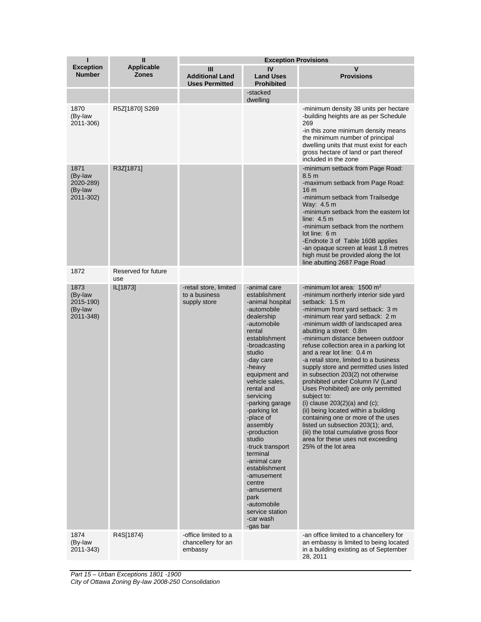| ī                                                    | $\mathbf{I}$                      | <b>Exception Provisions</b>                             |                                                                                                                                                                                                                                                                                                                                                                                                                                                                                                         |                                                                                                                                                                                                                                                                                                                                                                                                                                                                                                                                                                                                                                                                                                                                                                                                                                          |
|------------------------------------------------------|-----------------------------------|---------------------------------------------------------|---------------------------------------------------------------------------------------------------------------------------------------------------------------------------------------------------------------------------------------------------------------------------------------------------------------------------------------------------------------------------------------------------------------------------------------------------------------------------------------------------------|------------------------------------------------------------------------------------------------------------------------------------------------------------------------------------------------------------------------------------------------------------------------------------------------------------------------------------------------------------------------------------------------------------------------------------------------------------------------------------------------------------------------------------------------------------------------------------------------------------------------------------------------------------------------------------------------------------------------------------------------------------------------------------------------------------------------------------------|
| <b>Exception</b><br><b>Number</b>                    | <b>Applicable</b><br><b>Zones</b> | Ш<br><b>Additional Land</b><br><b>Uses Permitted</b>    | IV<br><b>Land Uses</b><br><b>Prohibited</b>                                                                                                                                                                                                                                                                                                                                                                                                                                                             | v<br><b>Provisions</b>                                                                                                                                                                                                                                                                                                                                                                                                                                                                                                                                                                                                                                                                                                                                                                                                                   |
|                                                      |                                   |                                                         | -stacked<br>dwelling                                                                                                                                                                                                                                                                                                                                                                                                                                                                                    |                                                                                                                                                                                                                                                                                                                                                                                                                                                                                                                                                                                                                                                                                                                                                                                                                                          |
| 1870<br>(By-law<br>2011-306)                         | R5Z[1870] S269                    |                                                         |                                                                                                                                                                                                                                                                                                                                                                                                                                                                                                         | -minimum density 38 units per hectare<br>-building heights are as per Schedule<br>269<br>in this zone minimum density means<br>the minimum number of principal<br>dwelling units that must exist for each<br>gross hectare of land or part thereof<br>included in the zone                                                                                                                                                                                                                                                                                                                                                                                                                                                                                                                                                               |
| 1871<br>(By-law<br>2020-289)<br>(By-law<br>2011-302) | R3Z[1871]                         |                                                         |                                                                                                                                                                                                                                                                                                                                                                                                                                                                                                         | -minimum setback from Page Road:<br>8.5 <sub>m</sub><br>-maximum setback from Page Road:<br>16 m<br>-minimum setback from Trailsedge<br>Way: 4.5 m<br>-minimum setback from the eastern lot<br>line: $4.5 m$<br>-minimum setback from the northern<br>lot line: 6 m<br>-Endnote 3 of Table 160B applies<br>-an opaque screen at least 1.8 metres<br>high must be provided along the lot<br>line abutting 2687 Page Road                                                                                                                                                                                                                                                                                                                                                                                                                  |
| 1872                                                 | Reserved for future<br>use        |                                                         |                                                                                                                                                                                                                                                                                                                                                                                                                                                                                                         |                                                                                                                                                                                                                                                                                                                                                                                                                                                                                                                                                                                                                                                                                                                                                                                                                                          |
| 1873<br>(By-law<br>2015-190)<br>(By-law<br>2011-348) | IL[1873]                          | -retail store, limited<br>to a business<br>supply store | -animal care<br>establishment<br>-animal hospital<br>-automobile<br>dealership<br>-automobile<br>rental<br>establishment<br>-broadcasting<br>studio<br>-day care<br>-heavy<br>equipment and<br>vehicle sales.<br>rental and<br>servicing<br>-parking garage<br>-parking lot<br>-place of<br>assembly<br>-production<br>studio<br>-truck transport<br>terminal<br>-animal care<br>establishment<br>-amusement<br>centre<br>-amusement<br>park<br>-automobile<br>service station<br>-car wash<br>-gas bar | -minimum lot area: $1500 \text{ m}^2$<br>-minimum northerly interior side yard<br>setback: 1.5 m<br>-minimum front yard setback: 3 m<br>-minimum rear yard setback: 2 m<br>-minimum width of landscaped area<br>abutting a street: 0.8m<br>-minimum distance between outdoor<br>refuse collection area in a parking lot<br>and a rear lot line: 0.4 m<br>-a retail store, limited to a business<br>supply store and permitted uses listed<br>in subsection 203(2) not otherwise<br>prohibited under Column IV (Land<br>Uses Prohibited) are only permitted<br>subject to:<br>(i) clause $203(2)(a)$ and $(c)$ ;<br>(ii) being located within a building<br>containing one or more of the uses<br>listed un subsection 203(1); and,<br>(iii) the total cumulative gross floor<br>area for these uses not exceeding<br>25% of the lot area |
| 1874<br>(By-law<br>2011-343)                         | R4S[1874}                         | -office limited to a<br>chancellery for an<br>embassy   |                                                                                                                                                                                                                                                                                                                                                                                                                                                                                                         | -an office limited to a chancellery for<br>an embassy is limited to being located<br>in a building existing as of September<br>28, 2011                                                                                                                                                                                                                                                                                                                                                                                                                                                                                                                                                                                                                                                                                                  |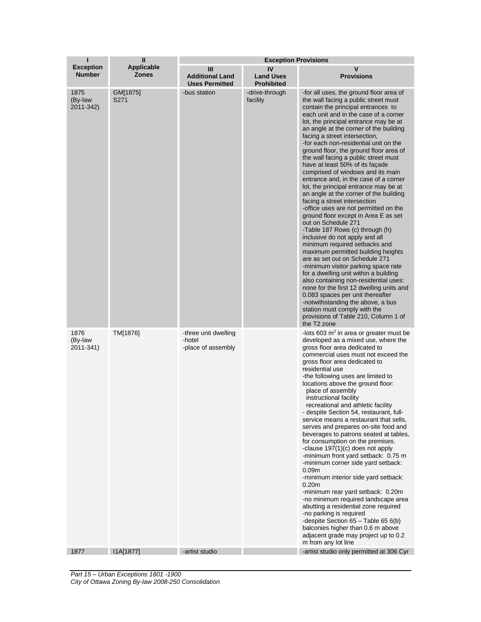| T                                 | $\mathbf{I}$                      | <b>Exception Provisions</b>                          |                                             |                                                                                                                                                                                                                                                                                                                                                                                                                                                                                                                                                                                                                                                                                                                                                                                                                                                                                                                                                                                                                                                                                                                                                                                                                                                                              |
|-----------------------------------|-----------------------------------|------------------------------------------------------|---------------------------------------------|------------------------------------------------------------------------------------------------------------------------------------------------------------------------------------------------------------------------------------------------------------------------------------------------------------------------------------------------------------------------------------------------------------------------------------------------------------------------------------------------------------------------------------------------------------------------------------------------------------------------------------------------------------------------------------------------------------------------------------------------------------------------------------------------------------------------------------------------------------------------------------------------------------------------------------------------------------------------------------------------------------------------------------------------------------------------------------------------------------------------------------------------------------------------------------------------------------------------------------------------------------------------------|
| <b>Exception</b><br><b>Number</b> | <b>Applicable</b><br><b>Zones</b> | Ш<br><b>Additional Land</b><br><b>Uses Permitted</b> | IV<br><b>Land Uses</b><br><b>Prohibited</b> | v<br><b>Provisions</b>                                                                                                                                                                                                                                                                                                                                                                                                                                                                                                                                                                                                                                                                                                                                                                                                                                                                                                                                                                                                                                                                                                                                                                                                                                                       |
| 1875<br>(By-law<br>2011-342)      | GM[1875]<br>S271                  | -bus station                                         | -drive-through<br>facility                  | -for all uses, the ground floor area of<br>the wall facing a public street must<br>contain the principal entrances to<br>each unit and in the case of a corner<br>lot, the principal entrance may be at<br>an angle at the corner of the building<br>facing a street intersection,<br>-for each non-residential unit on the<br>ground floor, the ground floor area of<br>the wall facing a public street must<br>have at least 50% of its facade<br>comprised of windows and its main<br>entrance and, in the case of a corner<br>lot, the principal entrance may be at<br>an angle at the corner of the building<br>facing a street intersection<br>-office uses are not permitted on the<br>ground floor except in Area E as set<br>out on Schedule 271<br>-Table 187 Rows (c) through (h)<br>inclusive do not apply and all<br>minimum required setbacks and<br>maximum permitted building heights<br>are as set out on Schedule 271<br>-minimum visitor parking space rate<br>for a dwelling unit within a building<br>also containing non-residential uses:<br>none for the first 12 dwelling units and<br>0.083 spaces per unit thereafter<br>-notwithstanding the above, a bus<br>station must comply with the<br>provisions of Table 210, Column 1 of<br>the T2 zone |
| 1876<br>(By-law<br>2011-341)      | TM[1876]                          | -three unit dwelling<br>-hotel<br>-place of assembly |                                             | -lots 603 m <sup>2</sup> in area or greater must be<br>developed as a mixed use, where the<br>gross floor area dedicated to<br>commercial uses must not exceed the<br>gross floor area dedicated to<br>residential use<br>-the following uses are limited to<br>locations above the ground floor:<br>place of assembly<br>instructional facility<br>recreational and athletic facility<br>- despite Section 54, restaurant, full-<br>service means a restaurant that sells,<br>serves and prepares on-site food and<br>beverages to patrons seated at tables,<br>for consumption on the premises.<br>-clause 197(1)(c) does not apply<br>-minimum front yard setback: 0.75 m<br>-minimum corner side yard setback:<br>0.09 <sub>m</sub><br>-minimum interior side yard setback:<br>0.20 <sub>m</sub><br>-minimum rear yard setback: 0.20m<br>-no minimum required landscape area<br>abutting a residential zone required<br>-no parking is required<br>-despite Section 65 - Table 65 6(b)<br>balconies higher than 0.6 m above<br>adjacent grade may project up to 0.2<br>m from any lot line                                                                                                                                                                               |
| 1877                              | I1A[1877]                         | -artist studio                                       |                                             | -artist studio only permitted at 306 Cyr                                                                                                                                                                                                                                                                                                                                                                                                                                                                                                                                                                                                                                                                                                                                                                                                                                                                                                                                                                                                                                                                                                                                                                                                                                     |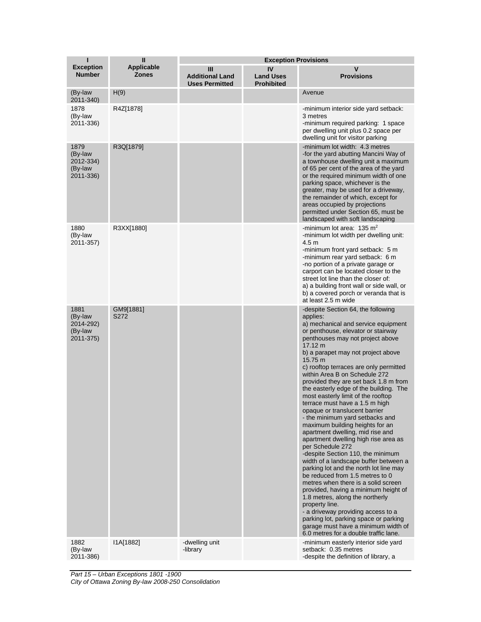| ı                                                    | Ш                                 | <b>Exception Provisions</b>                          |                                             |                                                                                                                                                                                                                                                                                                                                                                                                                                                                                                                                                                                                                                                                                                                                                                                                                                                                                                                                                                                                                                                                                                                                        |
|------------------------------------------------------|-----------------------------------|------------------------------------------------------|---------------------------------------------|----------------------------------------------------------------------------------------------------------------------------------------------------------------------------------------------------------------------------------------------------------------------------------------------------------------------------------------------------------------------------------------------------------------------------------------------------------------------------------------------------------------------------------------------------------------------------------------------------------------------------------------------------------------------------------------------------------------------------------------------------------------------------------------------------------------------------------------------------------------------------------------------------------------------------------------------------------------------------------------------------------------------------------------------------------------------------------------------------------------------------------------|
| <b>Exception</b><br><b>Number</b>                    | <b>Applicable</b><br><b>Zones</b> | Ш<br><b>Additional Land</b><br><b>Uses Permitted</b> | IV<br><b>Land Uses</b><br><b>Prohibited</b> | v<br><b>Provisions</b>                                                                                                                                                                                                                                                                                                                                                                                                                                                                                                                                                                                                                                                                                                                                                                                                                                                                                                                                                                                                                                                                                                                 |
| (By-law<br>2011-340)                                 | H(9)                              |                                                      |                                             | Avenue                                                                                                                                                                                                                                                                                                                                                                                                                                                                                                                                                                                                                                                                                                                                                                                                                                                                                                                                                                                                                                                                                                                                 |
| 1878<br>(By-law<br>2011-336)                         | R4Z[1878]                         |                                                      |                                             | -minimum interior side yard setback:<br>3 metres<br>-minimum required parking: 1 space<br>per dwelling unit plus 0.2 space per<br>dwelling unit for visitor parking                                                                                                                                                                                                                                                                                                                                                                                                                                                                                                                                                                                                                                                                                                                                                                                                                                                                                                                                                                    |
| 1879<br>(By-law<br>2012-334)<br>(By-law<br>2011-336) | R3Q[1879]                         |                                                      |                                             | -minimum lot width: 4.3 metres<br>-for the yard abutting Mancini Way of<br>a townhouse dwelling unit a maximum<br>of 65 per cent of the area of the yard<br>or the required minimum width of one<br>parking space, whichever is the<br>greater, may be used for a driveway,<br>the remainder of which, except for<br>areas occupied by projections<br>permitted under Section 65, must be<br>landscaped with soft landscaping                                                                                                                                                                                                                                                                                                                                                                                                                                                                                                                                                                                                                                                                                                          |
| 1880<br>(By-law<br>2011-357)                         | R3XX[1880]                        |                                                      |                                             | -minimum lot area: $135 \text{ m}^2$<br>-minimum lot width per dwelling unit:<br>4.5 <sub>m</sub><br>-minimum front yard setback: 5 m<br>-minimum rear yard setback: 6 m<br>-no portion of a private garage or<br>carport can be located closer to the<br>street lot line than the closer of:<br>a) a building front wall or side wall, or<br>b) a covered porch or veranda that is<br>at least 2.5 m wide                                                                                                                                                                                                                                                                                                                                                                                                                                                                                                                                                                                                                                                                                                                             |
| 1881<br>(By-law<br>2014-292)<br>(By-law<br>2011-375) | GM9[1881]<br>S272                 |                                                      |                                             | -despite Section 64, the following<br>applies:<br>a) mechanical and service equipment<br>or penthouse, elevator or stairway<br>penthouses may not project above<br>17.12 m<br>b) a parapet may not project above<br>15.75 m<br>c) rooftop terraces are only permitted<br>within Area B on Schedule 272<br>provided they are set back 1.8 m from<br>the easterly edge of the building. The<br>most easterly limit of the rooftop<br>terrace must have a 1.5 m high<br>opaque or translucent barrier<br>- the minimum yard setbacks and<br>maximum building heights for an<br>apartment dwelling, mid rise and<br>apartment dwelling high rise area as<br>per Schedule 272<br>-despite Section 110, the minimum<br>width of a landscape buffer between a<br>parking lot and the north lot line may<br>be reduced from 1.5 metres to 0<br>metres when there is a solid screen<br>provided, having a minimum height of<br>1.8 metres, along the northerly<br>property line.<br>- a driveway providing access to a<br>parking lot, parking space or parking<br>garage must have a minimum width of<br>6.0 metres for a double traffic lane. |
| 1882<br>(By-law<br>2011-386)                         | I1A[1882]                         | -dwelling unit<br>-library                           |                                             | -minimum easterly interior side yard<br>setback: 0.35 metres<br>-despite the definition of library, a                                                                                                                                                                                                                                                                                                                                                                                                                                                                                                                                                                                                                                                                                                                                                                                                                                                                                                                                                                                                                                  |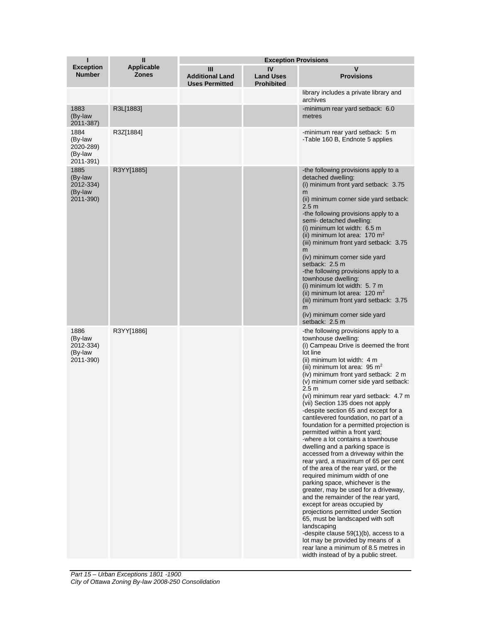| ı                                                    | $\mathbf{I}$                      | <b>Exception Provisions</b>                          |                                             |                                                                                                                                                                                                                                                                                                                                                                                                                                                                                                                                                                                                                                                                                                                                                                                                                                                                                                                                                                                                                                                                                                                                                                                       |
|------------------------------------------------------|-----------------------------------|------------------------------------------------------|---------------------------------------------|---------------------------------------------------------------------------------------------------------------------------------------------------------------------------------------------------------------------------------------------------------------------------------------------------------------------------------------------------------------------------------------------------------------------------------------------------------------------------------------------------------------------------------------------------------------------------------------------------------------------------------------------------------------------------------------------------------------------------------------------------------------------------------------------------------------------------------------------------------------------------------------------------------------------------------------------------------------------------------------------------------------------------------------------------------------------------------------------------------------------------------------------------------------------------------------|
| <b>Exception</b><br><b>Number</b>                    | <b>Applicable</b><br><b>Zones</b> | Ш<br><b>Additional Land</b><br><b>Uses Permitted</b> | IV<br><b>Land Uses</b><br><b>Prohibited</b> | $\mathbf v$<br><b>Provisions</b>                                                                                                                                                                                                                                                                                                                                                                                                                                                                                                                                                                                                                                                                                                                                                                                                                                                                                                                                                                                                                                                                                                                                                      |
|                                                      |                                   |                                                      |                                             | library includes a private library and<br>archives                                                                                                                                                                                                                                                                                                                                                                                                                                                                                                                                                                                                                                                                                                                                                                                                                                                                                                                                                                                                                                                                                                                                    |
| 1883<br>(By-law<br>2011-387)                         | R3L[1883]                         |                                                      |                                             | -minimum rear yard setback: 6.0<br>metres                                                                                                                                                                                                                                                                                                                                                                                                                                                                                                                                                                                                                                                                                                                                                                                                                                                                                                                                                                                                                                                                                                                                             |
| 1884<br>(By-law<br>2020-289)<br>(By-law<br>2011-391) | R3Z[1884]                         |                                                      |                                             | -minimum rear yard setback: 5 m<br>-Table 160 B, Endnote 5 applies                                                                                                                                                                                                                                                                                                                                                                                                                                                                                                                                                                                                                                                                                                                                                                                                                                                                                                                                                                                                                                                                                                                    |
| 1885<br>(By-law<br>2012-334)<br>(By-law<br>2011-390) | R3YY[1885]                        |                                                      |                                             | -the following provisions apply to a<br>detached dwelling:<br>(i) minimum front yard setback: 3.75<br>m<br>(ii) minimum corner side yard setback:<br>2.5m<br>-the following provisions apply to a<br>semi-detached dwelling:<br>(i) minimum lot width: 6.5 m<br>(ii) minimum lot area: $170 \text{ m}^2$<br>(iii) minimum front yard setback: 3.75<br>m<br>(iv) minimum corner side yard<br>setback: 2.5 m<br>-the following provisions apply to a<br>townhouse dwelling:<br>(i) minimum lot width: 5.7 m<br>(ii) minimum lot area: $120 \text{ m}^2$<br>(iii) minimum front yard setback: 3.75<br>m<br>(iv) minimum corner side yard<br>setback: 2.5 m                                                                                                                                                                                                                                                                                                                                                                                                                                                                                                                               |
| 1886<br>(By-law<br>2012-334)<br>(By-law<br>2011-390) | R3YY[1886]                        |                                                      |                                             | -the following provisions apply to a<br>townhouse dwelling:<br>(i) Campeau Drive is deemed the front<br>lot line<br>(ii) minimum lot width: 4 m<br>(iii) minimum lot area: $95 \text{ m}^2$<br>(iv) minimum front yard setback: 2 m<br>(v) minimum corner side yard setback:<br>2.5 <sub>m</sub><br>(vi) minimum rear yard setback: 4.7 m<br>(vii) Section 135 does not apply<br>-despite section 65 and except for a<br>cantilevered foundation, no part of a<br>foundation for a permitted projection is<br>permitted within a front yard;<br>-where a lot contains a townhouse<br>dwelling and a parking space is<br>accessed from a driveway within the<br>rear yard, a maximum of 65 per cent<br>of the area of the rear yard, or the<br>required minimum width of one<br>parking space, whichever is the<br>greater, may be used for a driveway,<br>and the remainder of the rear yard,<br>except for areas occupied by<br>projections permitted under Section<br>65, must be landscaped with soft<br>landscaping<br>-despite clause 59(1)(b), access to a<br>lot may be provided by means of a<br>rear lane a minimum of 8.5 metres in<br>width instead of by a public street. |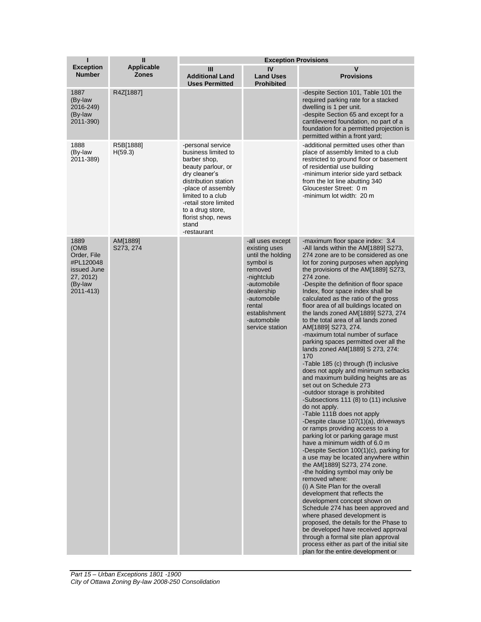| ı                                                                                            | $\mathbf{I}$               | <b>Exception Provisions</b>                                                                                                                                                                                                                                   |                                                                                                                                                                                                       |                                                                                                                                                                                                                                                                                                                                                                                                                                                                                                                                                                                                                                                                                                                                                                                                                                                                                                                                                                                                                                                                                                                                                                                                                                                                                                                                                                                                                                                                                                                                                                                                       |  |
|----------------------------------------------------------------------------------------------|----------------------------|---------------------------------------------------------------------------------------------------------------------------------------------------------------------------------------------------------------------------------------------------------------|-------------------------------------------------------------------------------------------------------------------------------------------------------------------------------------------------------|-------------------------------------------------------------------------------------------------------------------------------------------------------------------------------------------------------------------------------------------------------------------------------------------------------------------------------------------------------------------------------------------------------------------------------------------------------------------------------------------------------------------------------------------------------------------------------------------------------------------------------------------------------------------------------------------------------------------------------------------------------------------------------------------------------------------------------------------------------------------------------------------------------------------------------------------------------------------------------------------------------------------------------------------------------------------------------------------------------------------------------------------------------------------------------------------------------------------------------------------------------------------------------------------------------------------------------------------------------------------------------------------------------------------------------------------------------------------------------------------------------------------------------------------------------------------------------------------------------|--|
| <b>Exception</b><br><b>Number</b>                                                            | Applicable<br><b>Zones</b> | Ш<br><b>Additional Land</b><br><b>Uses Permitted</b>                                                                                                                                                                                                          | IV<br><b>Land Uses</b><br><b>Prohibited</b>                                                                                                                                                           | $\mathbf v$<br><b>Provisions</b>                                                                                                                                                                                                                                                                                                                                                                                                                                                                                                                                                                                                                                                                                                                                                                                                                                                                                                                                                                                                                                                                                                                                                                                                                                                                                                                                                                                                                                                                                                                                                                      |  |
| 1887<br>(By-law<br>2016-249)<br>(By-law<br>2011-390)                                         | R4Z[1887]                  |                                                                                                                                                                                                                                                               |                                                                                                                                                                                                       | -despite Section 101, Table 101 the<br>required parking rate for a stacked<br>dwelling is 1 per unit.<br>-despite Section 65 and except for a<br>cantilevered foundation, no part of a<br>foundation for a permitted projection is<br>permitted within a front yard;                                                                                                                                                                                                                                                                                                                                                                                                                                                                                                                                                                                                                                                                                                                                                                                                                                                                                                                                                                                                                                                                                                                                                                                                                                                                                                                                  |  |
| 1888<br>(By-law<br>2011-389)                                                                 | R5B[1888]<br>H(59.3)       | -personal service<br>business limited to<br>barber shop,<br>beauty parlour, or<br>dry cleaner's<br>distribution station<br>-place of assembly<br>limited to a club<br>-retail store limited<br>to a drug store,<br>florist shop, news<br>stand<br>-restaurant |                                                                                                                                                                                                       | -additional permitted uses other than<br>place of assembly limited to a club<br>restricted to ground floor or basement<br>of residential use building<br>-minimum interior side yard setback<br>from the lot line abutting 340<br>Gloucester Street: 0 m<br>-minimum lot width: 20 m                                                                                                                                                                                                                                                                                                                                                                                                                                                                                                                                                                                                                                                                                                                                                                                                                                                                                                                                                                                                                                                                                                                                                                                                                                                                                                                  |  |
| 1889<br>(OMB<br>Order, File<br>#PL120048<br>issued June<br>27, 2012)<br>(By-law<br>2011-413) | AM[1889]<br>S273, 274      |                                                                                                                                                                                                                                                               | -all uses except<br>existing uses<br>until the holding<br>symbol is<br>removed<br>-nightclub<br>-automobile<br>dealership<br>-automobile<br>rental<br>establishment<br>-automobile<br>service station | -maximum floor space index: 3.4<br>-All lands within the AM[1889] S273,<br>274 zone are to be considered as one<br>lot for zoning purposes when applying<br>the provisions of the AM[1889] S273,<br>274 zone.<br>-Despite the definition of floor space<br>Index, floor space index shall be<br>calculated as the ratio of the gross<br>floor area of all buildings located on<br>the lands zoned AM[1889] S273, 274<br>to the total area of all lands zoned<br>AM[1889] S273, 274.<br>-maximum total number of surface<br>parking spaces permitted over all the<br>lands zoned AM[1889] S 273, 274:<br>170<br>-Table 185 (c) through (f) inclusive<br>does not apply and minimum setbacks<br>and maximum building heights are as<br>set out on Schedule 273<br>-outdoor storage is prohibited<br>-Subsections 111 (8) to (11) inclusive<br>do not apply.<br>-Table 111B does not apply<br>-Despite clause 107(1)(a), driveways<br>or ramps providing access to a<br>parking lot or parking garage must<br>have a minimum width of 6.0 m<br>-Despite Section 100(1)(c), parking for<br>a use may be located anywhere within<br>the AM[1889] S273, 274 zone.<br>-the holding symbol may only be<br>removed where:<br>(i) A Site Plan for the overall<br>development that reflects the<br>development concept shown on<br>Schedule 274 has been approved and<br>where phased development is<br>proposed, the details for the Phase to<br>be developed have received approval<br>through a formal site plan approval<br>process either as part of the initial site<br>plan for the entire development or |  |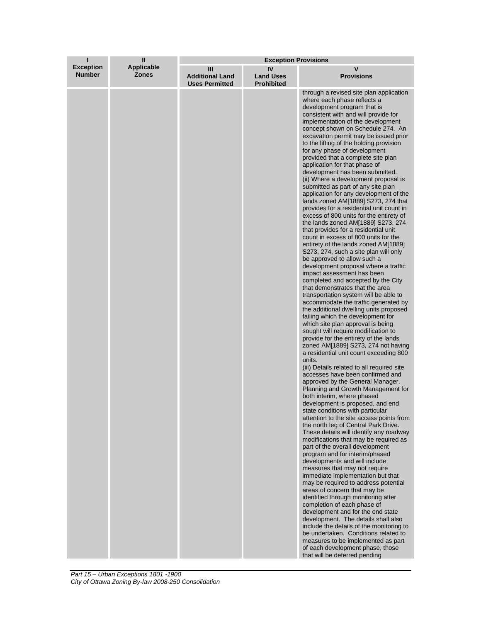| ı                                 | $\mathbf{I}$                      | <b>Exception Provisions</b>                          |                                             |                                                                                                                                                                                                                                                                                                                                                                                                                                                                                                                                                                                                                                                                                                                                                                                                                                                                                                                                                                                                                                                                                                                                                                                                                                                                                                                                                                                                                                                                                                                                                                                                                                                                                                                                                                                                                                                                                                                                                                                                                                                                                                                                                                                                                                                                                                                                                                                                                                                                                                                                 |
|-----------------------------------|-----------------------------------|------------------------------------------------------|---------------------------------------------|---------------------------------------------------------------------------------------------------------------------------------------------------------------------------------------------------------------------------------------------------------------------------------------------------------------------------------------------------------------------------------------------------------------------------------------------------------------------------------------------------------------------------------------------------------------------------------------------------------------------------------------------------------------------------------------------------------------------------------------------------------------------------------------------------------------------------------------------------------------------------------------------------------------------------------------------------------------------------------------------------------------------------------------------------------------------------------------------------------------------------------------------------------------------------------------------------------------------------------------------------------------------------------------------------------------------------------------------------------------------------------------------------------------------------------------------------------------------------------------------------------------------------------------------------------------------------------------------------------------------------------------------------------------------------------------------------------------------------------------------------------------------------------------------------------------------------------------------------------------------------------------------------------------------------------------------------------------------------------------------------------------------------------------------------------------------------------------------------------------------------------------------------------------------------------------------------------------------------------------------------------------------------------------------------------------------------------------------------------------------------------------------------------------------------------------------------------------------------------------------------------------------------------|
| <b>Exception</b><br><b>Number</b> | <b>Applicable</b><br><b>Zones</b> | Ш<br><b>Additional Land</b><br><b>Uses Permitted</b> | IV<br><b>Land Uses</b><br><b>Prohibited</b> | v<br><b>Provisions</b>                                                                                                                                                                                                                                                                                                                                                                                                                                                                                                                                                                                                                                                                                                                                                                                                                                                                                                                                                                                                                                                                                                                                                                                                                                                                                                                                                                                                                                                                                                                                                                                                                                                                                                                                                                                                                                                                                                                                                                                                                                                                                                                                                                                                                                                                                                                                                                                                                                                                                                          |
|                                   |                                   |                                                      |                                             | through a revised site plan application<br>where each phase reflects a<br>development program that is<br>consistent with and will provide for<br>implementation of the development<br>concept shown on Schedule 274. An<br>excavation permit may be issued prior<br>to the lifting of the holding provision<br>for any phase of development<br>provided that a complete site plan<br>application for that phase of<br>development has been submitted.<br>(ii) Where a development proposal is<br>submitted as part of any site plan<br>application for any development of the<br>lands zoned AM[1889] S273, 274 that<br>provides for a residential unit count in<br>excess of 800 units for the entirety of<br>the lands zoned AM[1889] S273, 274<br>that provides for a residential unit<br>count in excess of 800 units for the<br>entirety of the lands zoned AM[1889]<br>S273, 274, such a site plan will only<br>be approved to allow such a<br>development proposal where a traffic<br>impact assessment has been<br>completed and accepted by the City<br>that demonstrates that the area<br>transportation system will be able to<br>accommodate the traffic generated by<br>the additional dwelling units proposed<br>failing which the development for<br>which site plan approval is being<br>sought will require modification to<br>provide for the entirety of the lands<br>zoned AM[1889] S273, 274 not having<br>a residential unit count exceeding 800<br>units.<br>(iii) Details related to all required site<br>accesses have been confirmed and<br>approved by the General Manager,<br>Planning and Growth Management for<br>both interim, where phased<br>development is proposed, and end<br>state conditions with particular<br>attention to the site access points from<br>the north leg of Central Park Drive.<br>These details will identify any roadway<br>modifications that may be required as<br>part of the overall development<br>program and for interim/phased<br>developments and will include<br>measures that may not require<br>immediate implementation but that<br>may be required to address potential<br>areas of concern that may be<br>identified through monitoring after<br>completion of each phase of<br>development and for the end state<br>development. The details shall also<br>include the details of the monitoring to<br>be undertaken. Conditions related to<br>measures to be implemented as part<br>of each development phase, those<br>that will be deferred pending |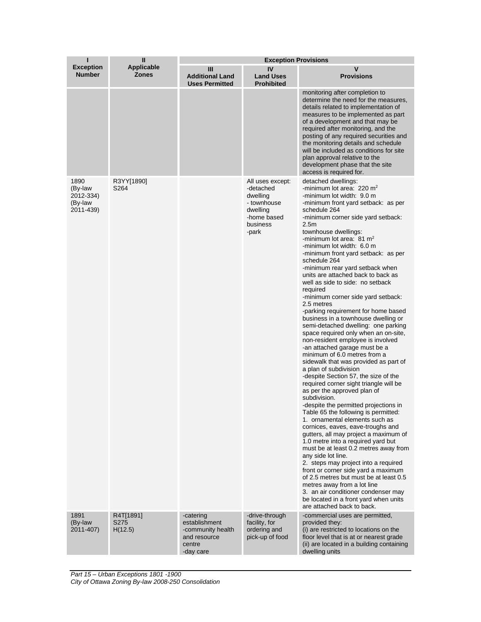| П                                                    | $\mathbf{I}$                      | <b>Exception Provisions</b>                                                            |                                                                                                          |                                                                                                                                                                                                                                                                                                                                                                                                                                                                                                                                                                                                                                                                                                                                                                                                                                                                                                                                                                                                                                                                                                                                                                                                                                                                                                                                                                                                                                                                                                                                                                                             |
|------------------------------------------------------|-----------------------------------|----------------------------------------------------------------------------------------|----------------------------------------------------------------------------------------------------------|---------------------------------------------------------------------------------------------------------------------------------------------------------------------------------------------------------------------------------------------------------------------------------------------------------------------------------------------------------------------------------------------------------------------------------------------------------------------------------------------------------------------------------------------------------------------------------------------------------------------------------------------------------------------------------------------------------------------------------------------------------------------------------------------------------------------------------------------------------------------------------------------------------------------------------------------------------------------------------------------------------------------------------------------------------------------------------------------------------------------------------------------------------------------------------------------------------------------------------------------------------------------------------------------------------------------------------------------------------------------------------------------------------------------------------------------------------------------------------------------------------------------------------------------------------------------------------------------|
| <b>Exception</b><br><b>Number</b>                    | <b>Applicable</b><br><b>Zones</b> | Ш<br><b>Additional Land</b><br><b>Uses Permitted</b>                                   | IV<br><b>Land Uses</b><br><b>Prohibited</b>                                                              | V<br><b>Provisions</b>                                                                                                                                                                                                                                                                                                                                                                                                                                                                                                                                                                                                                                                                                                                                                                                                                                                                                                                                                                                                                                                                                                                                                                                                                                                                                                                                                                                                                                                                                                                                                                      |
|                                                      |                                   |                                                                                        |                                                                                                          | monitoring after completion to<br>determine the need for the measures.<br>details related to implementation of<br>measures to be implemented as part<br>of a development and that may be<br>required after monitoring, and the<br>posting of any required securities and<br>the monitoring details and schedule<br>will be included as conditions for site<br>plan approval relative to the<br>development phase that the site<br>access is required for.                                                                                                                                                                                                                                                                                                                                                                                                                                                                                                                                                                                                                                                                                                                                                                                                                                                                                                                                                                                                                                                                                                                                   |
| 1890<br>(By-law<br>2012-334)<br>(By-law<br>2011-439) | R3YY[1890]<br>S264                |                                                                                        | All uses except:<br>-detached<br>dwelling<br>- townhouse<br>dwelling<br>-home based<br>business<br>-park | detached dwellings:<br>-minimum lot area: $220 \text{ m}^2$<br>-minimum lot width: 9.0 m<br>-minimum front yard setback: as per<br>schedule 264<br>-minimum corner side yard setback:<br>2.5 <sub>m</sub><br>townhouse dwellings:<br>-minimum lot area: $81 \text{ m}^2$<br>-minimum lot width: 6.0 m<br>-minimum front yard setback: as per<br>schedule 264<br>-minimum rear yard setback when<br>units are attached back to back as<br>well as side to side: no setback<br>required<br>-minimum corner side yard setback:<br>2.5 metres<br>-parking requirement for home based<br>business in a townhouse dwelling or<br>semi-detached dwelling: one parking<br>space required only when an on-site,<br>non-resident employee is involved<br>-an attached garage must be a<br>minimum of 6.0 metres from a<br>sidewalk that was provided as part of<br>a plan of subdivision<br>-despite Section 57, the size of the<br>required corner sight triangle will be<br>as per the approved plan of<br>subdivision.<br>-despite the permitted projections in<br>Table 65 the following is permitted:<br>1. ornamental elements such as<br>cornices, eaves, eave-troughs and<br>gutters, all may project a maximum of<br>1.0 metre into a required yard but<br>must be at least 0.2 metres away from<br>any side lot line.<br>2. steps may project into a required<br>front or corner side yard a maximum<br>of 2.5 metres but must be at least 0.5<br>metres away from a lot line<br>3. an air conditioner condenser may<br>be located in a front yard when units<br>are attached back to back. |
| 1891<br>(By-law<br>2011-407)                         | R4T[1891]<br>S275<br>H(12.5)      | -catering<br>establishment<br>-community health<br>and resource<br>centre<br>-day care | -drive-through<br>facility, for<br>ordering and<br>pick-up of food                                       | -commercial uses are permitted,<br>provided they:<br>(i) are restricted to locations on the<br>floor level that is at or nearest grade<br>(ii) are located in a building containing<br>dwelling units                                                                                                                                                                                                                                                                                                                                                                                                                                                                                                                                                                                                                                                                                                                                                                                                                                                                                                                                                                                                                                                                                                                                                                                                                                                                                                                                                                                       |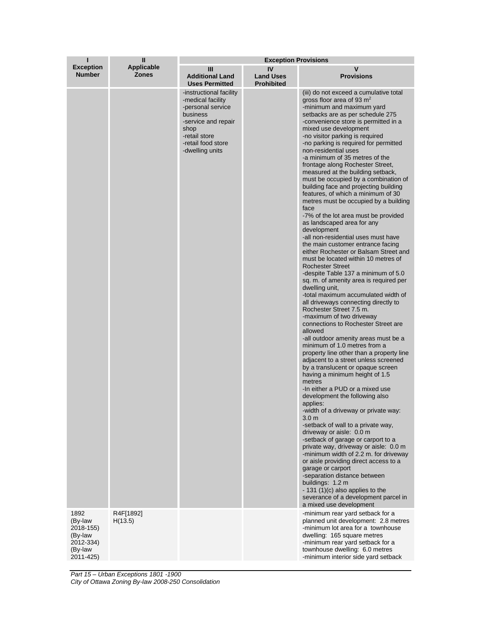| п                                                                    | $\mathbf{I}$                      | <b>Exception Provisions</b>                                                                                                                                            |                                             |                                                                                                                                                                                                                                                                                                                                                                                                                                                                                                                                                                                                                                                                                                                                                                                                                                                                                                                                                                                                                                                                                                                                                                                                                                                                                                                                                                                                                                                                                                                                                                                                                                                                                                                                                                                                                                                                                                                                                                                                                         |  |
|----------------------------------------------------------------------|-----------------------------------|------------------------------------------------------------------------------------------------------------------------------------------------------------------------|---------------------------------------------|-------------------------------------------------------------------------------------------------------------------------------------------------------------------------------------------------------------------------------------------------------------------------------------------------------------------------------------------------------------------------------------------------------------------------------------------------------------------------------------------------------------------------------------------------------------------------------------------------------------------------------------------------------------------------------------------------------------------------------------------------------------------------------------------------------------------------------------------------------------------------------------------------------------------------------------------------------------------------------------------------------------------------------------------------------------------------------------------------------------------------------------------------------------------------------------------------------------------------------------------------------------------------------------------------------------------------------------------------------------------------------------------------------------------------------------------------------------------------------------------------------------------------------------------------------------------------------------------------------------------------------------------------------------------------------------------------------------------------------------------------------------------------------------------------------------------------------------------------------------------------------------------------------------------------------------------------------------------------------------------------------------------------|--|
| <b>Exception</b><br><b>Number</b>                                    | <b>Applicable</b><br><b>Zones</b> | Ш<br><b>Additional Land</b><br><b>Uses Permitted</b>                                                                                                                   | IV<br><b>Land Uses</b><br><b>Prohibited</b> | v<br><b>Provisions</b>                                                                                                                                                                                                                                                                                                                                                                                                                                                                                                                                                                                                                                                                                                                                                                                                                                                                                                                                                                                                                                                                                                                                                                                                                                                                                                                                                                                                                                                                                                                                                                                                                                                                                                                                                                                                                                                                                                                                                                                                  |  |
| 1892                                                                 | R4F[1892]                         | -instructional facility<br>-medical facility<br>-personal service<br>business<br>-service and repair<br>shop<br>-retail store<br>-retail food store<br>-dwelling units |                                             | (iii) do not exceed a cumulative total<br>gross floor area of 93 $m2$<br>-minimum and maximum yard<br>setbacks are as per schedule 275<br>-convenience store is permitted in a<br>mixed use development<br>-no visitor parking is required<br>-no parking is required for permitted<br>non-residential uses<br>-a minimum of 35 metres of the<br>frontage along Rochester Street,<br>measured at the building setback,<br>must be occupied by a combination of<br>building face and projecting building<br>features, of which a minimum of 30<br>metres must be occupied by a building<br>face<br>-7% of the lot area must be provided<br>as landscaped area for any<br>development<br>-all non-residential uses must have<br>the main customer entrance facing<br>either Rochester or Balsam Street and<br>must be located within 10 metres of<br><b>Rochester Street</b><br>-despite Table 137 a minimum of 5.0<br>sq. m. of amenity area is required per<br>dwelling unit,<br>-total maximum accumulated width of<br>all driveways connecting directly to<br>Rochester Street 7.5 m.<br>-maximum of two driveway<br>connections to Rochester Street are<br>allowed<br>-all outdoor amenity areas must be a<br>minimum of 1.0 metres from a<br>property line other than a property line<br>adjacent to a street unless screened<br>by a translucent or opaque screen<br>having a minimum height of 1.5<br>metres<br>-In either a PUD or a mixed use<br>development the following also<br>applies:<br>-width of a driveway or private way:<br>3.0 <sub>m</sub><br>-setback of wall to a private way,<br>driveway or aisle: 0.0 m<br>-setback of garage or carport to a<br>private way, driveway or aisle: 0.0 m<br>-minimum width of 2.2 m. for driveway<br>or aisle providing direct access to a<br>garage or carport<br>-separation distance between<br>buildings: 1.2 m<br>$-131$ (1)(c) also applies to the<br>severance of a development parcel in<br>a mixed use development<br>-minimum rear yard setback for a |  |
| (By-law<br>2018-155)<br>(By-law<br>2012-334)<br>(By-law<br>2011-425) | H(13.5)                           |                                                                                                                                                                        |                                             | planned unit development: 2.8 metres<br>-minimum lot area for a townhouse<br>dwelling: 165 square metres<br>-minimum rear yard setback for a<br>townhouse dwelling: 6.0 metres<br>-minimum interior side yard setback                                                                                                                                                                                                                                                                                                                                                                                                                                                                                                                                                                                                                                                                                                                                                                                                                                                                                                                                                                                                                                                                                                                                                                                                                                                                                                                                                                                                                                                                                                                                                                                                                                                                                                                                                                                                   |  |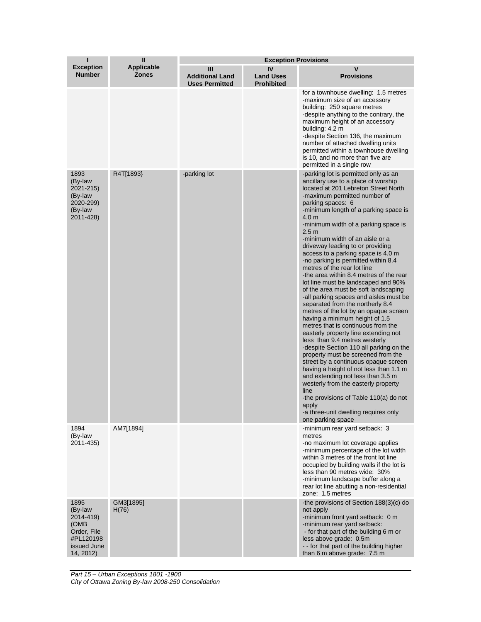| I                                                                                            | $\mathbf{I}$                      | <b>Exception Provisions</b>                          |                                             |                                                                                                                                                                                                                                                                                                                                                                                                                                                                                                                                                                                                                                                                                                                                                                                                                                                                                                                                                                                                                                                                                                                                                                                                                                                               |  |
|----------------------------------------------------------------------------------------------|-----------------------------------|------------------------------------------------------|---------------------------------------------|---------------------------------------------------------------------------------------------------------------------------------------------------------------------------------------------------------------------------------------------------------------------------------------------------------------------------------------------------------------------------------------------------------------------------------------------------------------------------------------------------------------------------------------------------------------------------------------------------------------------------------------------------------------------------------------------------------------------------------------------------------------------------------------------------------------------------------------------------------------------------------------------------------------------------------------------------------------------------------------------------------------------------------------------------------------------------------------------------------------------------------------------------------------------------------------------------------------------------------------------------------------|--|
| <b>Exception</b><br><b>Number</b>                                                            | <b>Applicable</b><br><b>Zones</b> | Ш<br><b>Additional Land</b><br><b>Uses Permitted</b> | IV<br><b>Land Uses</b><br><b>Prohibited</b> | $\mathbf v$<br><b>Provisions</b>                                                                                                                                                                                                                                                                                                                                                                                                                                                                                                                                                                                                                                                                                                                                                                                                                                                                                                                                                                                                                                                                                                                                                                                                                              |  |
|                                                                                              |                                   |                                                      |                                             | for a townhouse dwelling: 1.5 metres<br>-maximum size of an accessory<br>building: 250 square metres<br>-despite anything to the contrary, the<br>maximum height of an accessory<br>building: 4.2 m<br>-despite Section 136, the maximum<br>number of attached dwelling units<br>permitted within a townhouse dwelling<br>is 10, and no more than five are<br>permitted in a single row                                                                                                                                                                                                                                                                                                                                                                                                                                                                                                                                                                                                                                                                                                                                                                                                                                                                       |  |
| 1893<br>(By-law<br>2021-215)<br>(By-law<br>2020-299)<br>(By-law<br>2011-428)                 | R4T[1893}                         | -parking lot                                         |                                             | -parking lot is permitted only as an<br>ancillary use to a place of worship<br>located at 201 Lebreton Street North<br>-maximum permitted number of<br>parking spaces: 6<br>-minimum length of a parking space is<br>4.0 <sub>m</sub><br>-minimum width of a parking space is<br>2.5 <sub>m</sub><br>-minimum width of an aisle or a<br>driveway leading to or providing<br>access to a parking space is 4.0 m<br>-no parking is permitted within 8.4<br>metres of the rear lot line<br>-the area within 8.4 metres of the rear<br>lot line must be landscaped and 90%<br>of the area must be soft landscaping<br>-all parking spaces and aisles must be<br>separated from the northerly 8.4<br>metres of the lot by an opaque screen<br>having a minimum height of 1.5<br>metres that is continuous from the<br>easterly property line extending not<br>less than 9.4 metres westerly<br>-despite Section 110 all parking on the<br>property must be screened from the<br>street by a continuous opaque screen<br>having a height of not less than 1.1 m<br>and extending not less than 3.5 m<br>westerly from the easterly property<br>line<br>-the provisions of Table 110(a) do not<br>apply<br>-a three-unit dwelling requires only<br>one parking space |  |
| 1894<br>(By-law<br>2011-435)                                                                 | AM7[1894]                         |                                                      |                                             | -minimum rear yard setback: 3<br>metres<br>-no maximum lot coverage applies<br>-minimum percentage of the lot width<br>within 3 metres of the front lot line<br>occupied by building walls if the lot is<br>less than 90 metres wide: 30%<br>-minimum landscape buffer along a<br>rear lot line abutting a non-residential<br>zone: 1.5 metres                                                                                                                                                                                                                                                                                                                                                                                                                                                                                                                                                                                                                                                                                                                                                                                                                                                                                                                |  |
| 1895<br>(By-law<br>2014-419)<br>(OMB<br>Order, File<br>#PL120198<br>issued June<br>14, 2012) | GM3[1895]<br>H(76)                |                                                      |                                             | -the provisions of Section 188(3)(c) do<br>not apply<br>-minimum front yard setback: 0 m<br>-minimum rear yard setback:<br>- for that part of the building 6 m or<br>less above grade: 0.5m<br>-- for that part of the building higher<br>than 6 m above grade: 7.5 m                                                                                                                                                                                                                                                                                                                                                                                                                                                                                                                                                                                                                                                                                                                                                                                                                                                                                                                                                                                         |  |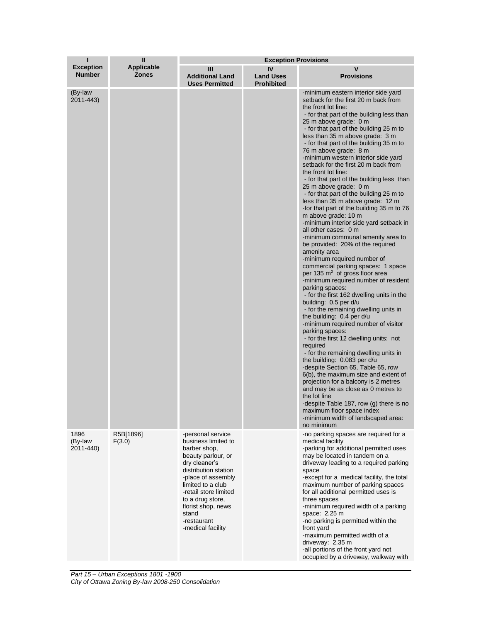| ī                                 | $\mathbf{I}$<br><b>Applicable</b><br><b>Zones</b> | <b>Exception Provisions</b>                                                                                                                                                                                                                                                        |                                             |                                                                                                                                                                                                                                                                                                                                                                                                                                                                                                                                                                                                                                                                                                                                                                                                                                                                                                                                                                                                                                                                                                                                                                                                                                                                                                                                                                                                                                                                                                                                                                                                                                                |  |
|-----------------------------------|---------------------------------------------------|------------------------------------------------------------------------------------------------------------------------------------------------------------------------------------------------------------------------------------------------------------------------------------|---------------------------------------------|------------------------------------------------------------------------------------------------------------------------------------------------------------------------------------------------------------------------------------------------------------------------------------------------------------------------------------------------------------------------------------------------------------------------------------------------------------------------------------------------------------------------------------------------------------------------------------------------------------------------------------------------------------------------------------------------------------------------------------------------------------------------------------------------------------------------------------------------------------------------------------------------------------------------------------------------------------------------------------------------------------------------------------------------------------------------------------------------------------------------------------------------------------------------------------------------------------------------------------------------------------------------------------------------------------------------------------------------------------------------------------------------------------------------------------------------------------------------------------------------------------------------------------------------------------------------------------------------------------------------------------------------|--|
| <b>Exception</b><br><b>Number</b> |                                                   | Ш<br><b>Additional Land</b><br><b>Uses Permitted</b>                                                                                                                                                                                                                               | IV<br><b>Land Uses</b><br><b>Prohibited</b> | V<br><b>Provisions</b>                                                                                                                                                                                                                                                                                                                                                                                                                                                                                                                                                                                                                                                                                                                                                                                                                                                                                                                                                                                                                                                                                                                                                                                                                                                                                                                                                                                                                                                                                                                                                                                                                         |  |
| (By-law<br>2011-443)              |                                                   |                                                                                                                                                                                                                                                                                    |                                             | -minimum eastern interior side yard<br>setback for the first 20 m back from<br>the front lot line:<br>- for that part of the building less than<br>25 m above grade: 0 m<br>- for that part of the building 25 m to<br>less than 35 m above grade: 3 m<br>- for that part of the building 35 m to<br>76 m above grade: 8 m<br>-minimum western interior side yard<br>setback for the first 20 m back from<br>the front lot line:<br>- for that part of the building less than<br>25 m above grade: 0 m<br>- for that part of the building 25 m to<br>less than 35 m above grade: 12 m<br>-for that part of the building 35 m to 76<br>m above grade: 10 m<br>-minimum interior side yard setback in<br>all other cases: 0 m<br>-minimum communal amenity area to<br>be provided: 20% of the required<br>amenity area<br>-minimum required number of<br>commercial parking spaces: 1 space<br>per 135 m <sup>2</sup> of gross floor area<br>-minimum required number of resident<br>parking spaces:<br>- for the first 162 dwelling units in the<br>building: 0.5 per d/u<br>- for the remaining dwelling units in<br>the building: 0.4 per d/u<br>-minimum required number of visitor<br>parking spaces:<br>- for the first 12 dwelling units: not<br>required<br>- for the remaining dwelling units in<br>the building: 0.083 per d/u<br>-despite Section 65, Table 65, row<br>6(b), the maximum size and extent of<br>projection for a balcony is 2 metres<br>and may be as close as 0 metres to<br>the lot line<br>-despite Table 187, row (g) there is no<br>maximum floor space index<br>-minimum width of landscaped area:<br>no minimum |  |
| 1896<br>(By-law<br>2011-440)      | R5B[1896]<br>F(3.0)                               | -personal service<br>business limited to<br>barber shop,<br>beauty parlour, or<br>dry cleaner's<br>distribution station<br>-place of assembly<br>limited to a club<br>-retail store limited<br>to a drug store,<br>florist shop, news<br>stand<br>-restaurant<br>-medical facility |                                             | -no parking spaces are required for a<br>medical facility<br>-parking for additional permitted uses<br>may be located in tandem on a<br>driveway leading to a required parking<br>space<br>-except for a medical facility, the total<br>maximum number of parking spaces<br>for all additional permitted uses is<br>three spaces<br>-minimum required width of a parking<br>space: 2.25 m<br>-no parking is permitted within the<br>front yard<br>-maximum permitted width of a<br>driveway: 2.35 m<br>-all portions of the front yard not<br>occupied by a driveway, walkway with                                                                                                                                                                                                                                                                                                                                                                                                                                                                                                                                                                                                                                                                                                                                                                                                                                                                                                                                                                                                                                                             |  |